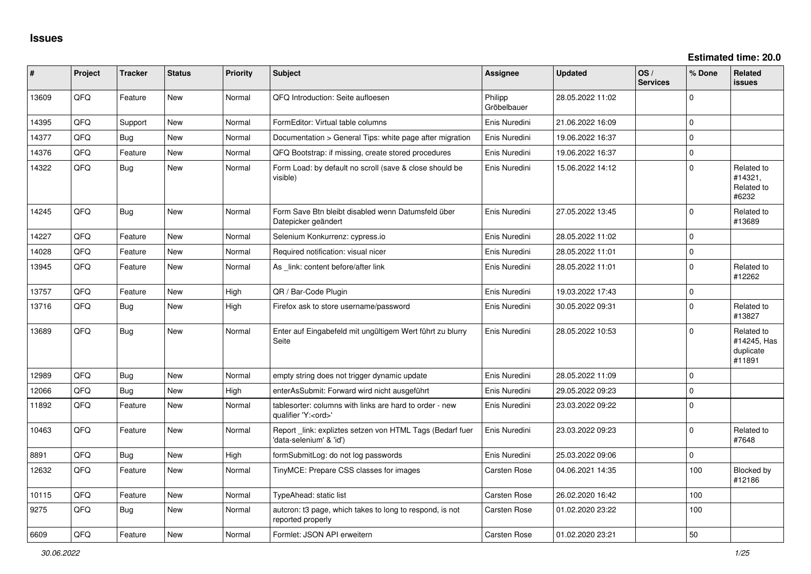| ∥ #   | Project | <b>Tracker</b> | <b>Status</b> | <b>Priority</b> | <b>Subject</b>                                                                        | Assignee               | <b>Updated</b>   | OS/<br><b>Services</b> | % Done      | Related<br>issues                                |
|-------|---------|----------------|---------------|-----------------|---------------------------------------------------------------------------------------|------------------------|------------------|------------------------|-------------|--------------------------------------------------|
| 13609 | QFQ     | Feature        | <b>New</b>    | Normal          | QFQ Introduction: Seite aufloesen                                                     | Philipp<br>Gröbelbauer | 28.05.2022 11:02 |                        | $\Omega$    |                                                  |
| 14395 | QFQ     | Support        | <b>New</b>    | Normal          | FormEditor: Virtual table columns                                                     | Enis Nuredini          | 21.06.2022 16:09 |                        | $\mathbf 0$ |                                                  |
| 14377 | QFQ     | Bug            | <b>New</b>    | Normal          | Documentation > General Tips: white page after migration                              | Enis Nuredini          | 19.06.2022 16:37 |                        | $\mathbf 0$ |                                                  |
| 14376 | QFQ     | Feature        | <b>New</b>    | Normal          | QFQ Bootstrap: if missing, create stored procedures                                   | Enis Nuredini          | 19.06.2022 16:37 |                        | $\mathbf 0$ |                                                  |
| 14322 | QFQ     | Bug            | <b>New</b>    | Normal          | Form Load: by default no scroll (save & close should be<br>visible)                   | Enis Nuredini          | 15.06.2022 14:12 |                        | $\Omega$    | Related to<br>#14321,<br>Related to<br>#6232     |
| 14245 | QFQ     | <b>Bug</b>     | <b>New</b>    | Normal          | Form Save Btn bleibt disabled wenn Datumsfeld über<br>Datepicker geändert             | Enis Nuredini          | 27.05.2022 13:45 |                        | $\Omega$    | Related to<br>#13689                             |
| 14227 | QFQ     | Feature        | <b>New</b>    | Normal          | Selenium Konkurrenz: cypress.io                                                       | Enis Nuredini          | 28.05.2022 11:02 |                        | $\Omega$    |                                                  |
| 14028 | QFQ     | Feature        | <b>New</b>    | Normal          | Required notification: visual nicer                                                   | Enis Nuredini          | 28.05.2022 11:01 |                        | $\mathbf 0$ |                                                  |
| 13945 | QFQ     | Feature        | New           | Normal          | As link: content before/after link                                                    | Enis Nuredini          | 28.05.2022 11:01 |                        | $\Omega$    | Related to<br>#12262                             |
| 13757 | QFQ     | Feature        | <b>New</b>    | High            | QR / Bar-Code Plugin                                                                  | Enis Nuredini          | 19.03.2022 17:43 |                        | $\mathbf 0$ |                                                  |
| 13716 | QFQ     | <b>Bug</b>     | New           | High            | Firefox ask to store username/password                                                | Enis Nuredini          | 30.05.2022 09:31 |                        | $\mathbf 0$ | Related to<br>#13827                             |
| 13689 | QFQ     | Bug            | New           | Normal          | Enter auf Eingabefeld mit ungültigem Wert führt zu blurry<br>Seite                    | Enis Nuredini          | 28.05.2022 10:53 |                        | $\Omega$    | Related to<br>#14245, Has<br>duplicate<br>#11891 |
| 12989 | QFQ     | Bug            | <b>New</b>    | Normal          | empty string does not trigger dynamic update                                          | Enis Nuredini          | 28.05.2022 11:09 |                        | $\mathbf 0$ |                                                  |
| 12066 | QFQ     | Bug            | <b>New</b>    | High            | enterAsSubmit: Forward wird nicht ausgeführt                                          | Enis Nuredini          | 29.05.2022 09:23 |                        | $\pmb{0}$   |                                                  |
| 11892 | QFQ     | Feature        | <b>New</b>    | Normal          | tablesorter: columns with links are hard to order - new<br>qualifier 'Y: <ord>'</ord> | Enis Nuredini          | 23.03.2022 09:22 |                        | $\Omega$    |                                                  |
| 10463 | QFQ     | Feature        | New           | Normal          | Report link: expliztes setzen von HTML Tags (Bedarf fuer<br>data-selenium' & 'id')    | Enis Nuredini          | 23.03.2022 09:23 |                        | $\mathbf 0$ | Related to<br>#7648                              |
| 8891  | QFQ     | Bug            | <b>New</b>    | High            | formSubmitLog: do not log passwords                                                   | Enis Nuredini          | 25.03.2022 09:06 |                        | $\mathbf 0$ |                                                  |
| 12632 | QFQ     | Feature        | <b>New</b>    | Normal          | TinyMCE: Prepare CSS classes for images                                               | Carsten Rose           | 04.06.2021 14:35 |                        | 100         | <b>Blocked by</b><br>#12186                      |
| 10115 | QFQ     | Feature        | <b>New</b>    | Normal          | TypeAhead: static list                                                                | Carsten Rose           | 26.02.2020 16:42 |                        | 100         |                                                  |
| 9275  | QFQ     | <b>Bug</b>     | New           | Normal          | autcron: t3 page, which takes to long to respond, is not<br>reported properly         | <b>Carsten Rose</b>    | 01.02.2020 23:22 |                        | 100         |                                                  |
| 6609  | QFQ     | Feature        | New           | Normal          | Formlet: JSON API erweitern                                                           | <b>Carsten Rose</b>    | 01.02.2020 23:21 |                        | 50          |                                                  |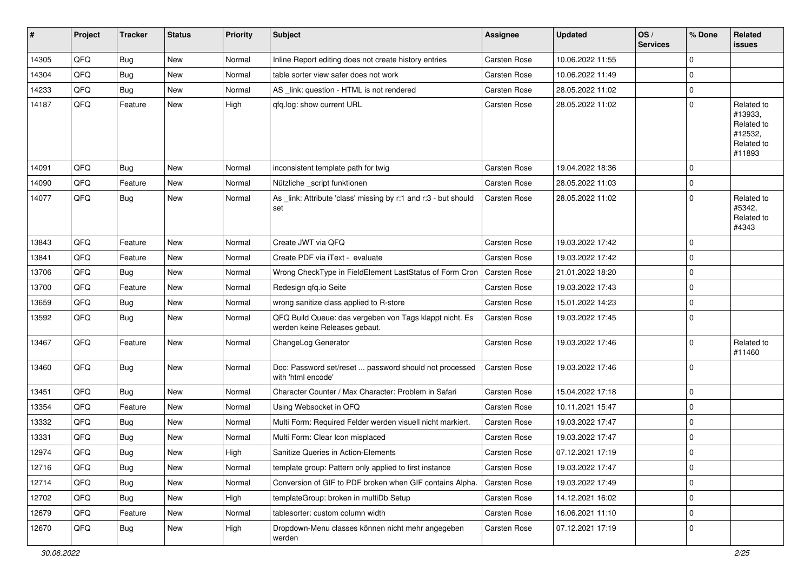| #     | Project | <b>Tracker</b> | <b>Status</b> | <b>Priority</b> | <b>Subject</b>                                                                           | <b>Assignee</b>     | <b>Updated</b>   | OS/<br><b>Services</b> | % Done      | Related<br>issues                                                      |
|-------|---------|----------------|---------------|-----------------|------------------------------------------------------------------------------------------|---------------------|------------------|------------------------|-------------|------------------------------------------------------------------------|
| 14305 | QFQ     | <b>Bug</b>     | New           | Normal          | Inline Report editing does not create history entries                                    | Carsten Rose        | 10.06.2022 11:55 |                        | $\mathbf 0$ |                                                                        |
| 14304 | QFQ     | <b>Bug</b>     | New           | Normal          | table sorter view safer does not work                                                    | Carsten Rose        | 10.06.2022 11:49 |                        | $\mathbf 0$ |                                                                        |
| 14233 | QFQ     | Bug            | New           | Normal          | AS_link: question - HTML is not rendered                                                 | Carsten Rose        | 28.05.2022 11:02 |                        | 0           |                                                                        |
| 14187 | QFQ     | Feature        | New           | High            | qfq.log: show current URL                                                                | Carsten Rose        | 28.05.2022 11:02 |                        | $\mathbf 0$ | Related to<br>#13933,<br>Related to<br>#12532,<br>Related to<br>#11893 |
| 14091 | QFQ     | <b>Bug</b>     | New           | Normal          | inconsistent template path for twig                                                      | Carsten Rose        | 19.04.2022 18:36 |                        | $\mathbf 0$ |                                                                        |
| 14090 | QFQ     | Feature        | New           | Normal          | Nützliche _script funktionen                                                             | Carsten Rose        | 28.05.2022 11:03 |                        | $\mathbf 0$ |                                                                        |
| 14077 | QFQ     | <b>Bug</b>     | New           | Normal          | As _link: Attribute 'class' missing by r:1 and r:3 - but should<br>set                   | <b>Carsten Rose</b> | 28.05.2022 11:02 |                        | $\mathbf 0$ | Related to<br>#5342.<br>Related to<br>#4343                            |
| 13843 | QFQ     | Feature        | <b>New</b>    | Normal          | Create JWT via QFQ                                                                       | Carsten Rose        | 19.03.2022 17:42 |                        | $\mathbf 0$ |                                                                        |
| 13841 | QFQ     | Feature        | New           | Normal          | Create PDF via iText - evaluate                                                          | Carsten Rose        | 19.03.2022 17:42 |                        | $\mathbf 0$ |                                                                        |
| 13706 | QFQ     | Bug            | New           | Normal          | Wrong CheckType in FieldElement LastStatus of Form Cron                                  | <b>Carsten Rose</b> | 21.01.2022 18:20 |                        | $\mathbf 0$ |                                                                        |
| 13700 | QFQ     | Feature        | New           | Normal          | Redesign qfq.io Seite                                                                    | <b>Carsten Rose</b> | 19.03.2022 17:43 |                        | $\mathbf 0$ |                                                                        |
| 13659 | QFQ     | <b>Bug</b>     | <b>New</b>    | Normal          | wrong sanitize class applied to R-store                                                  | Carsten Rose        | 15.01.2022 14:23 |                        | $\mathbf 0$ |                                                                        |
| 13592 | QFQ     | Bug            | New           | Normal          | QFQ Build Queue: das vergeben von Tags klappt nicht. Es<br>werden keine Releases gebaut. | Carsten Rose        | 19.03.2022 17:45 |                        | $\mathbf 0$ |                                                                        |
| 13467 | QFQ     | Feature        | New           | Normal          | ChangeLog Generator                                                                      | Carsten Rose        | 19.03.2022 17:46 |                        | $\mathbf 0$ | Related to<br>#11460                                                   |
| 13460 | QFQ     | Bug            | New           | Normal          | Doc: Password set/reset  password should not processed<br>with 'html encode'             | Carsten Rose        | 19.03.2022 17:46 |                        | $\Omega$    |                                                                        |
| 13451 | QFQ     | <b>Bug</b>     | New           | Normal          | Character Counter / Max Character: Problem in Safari                                     | Carsten Rose        | 15.04.2022 17:18 |                        | $\mathbf 0$ |                                                                        |
| 13354 | QFQ     | Feature        | New           | Normal          | Using Websocket in QFQ                                                                   | Carsten Rose        | 10.11.2021 15:47 |                        | $\mathbf 0$ |                                                                        |
| 13332 | QFQ     | <b>Bug</b>     | New           | Normal          | Multi Form: Required Felder werden visuell nicht markiert.                               | <b>Carsten Rose</b> | 19.03.2022 17:47 |                        | 0           |                                                                        |
| 13331 | QFQ     | <b>Bug</b>     | New           | Normal          | Multi Form: Clear Icon misplaced                                                         | Carsten Rose        | 19.03.2022 17:47 |                        | $\mathbf 0$ |                                                                        |
| 12974 | QFQ     | Bug            | New           | High            | Sanitize Queries in Action-Elements                                                      | Carsten Rose        | 07.12.2021 17:19 |                        | $\mathbf 0$ |                                                                        |
| 12716 | QFQ     | <b>Bug</b>     | New           | Normal          | template group: Pattern only applied to first instance                                   | Carsten Rose        | 19.03.2022 17:47 |                        | 0           |                                                                        |
| 12714 | QFQ     | Bug            | New           | Normal          | Conversion of GIF to PDF broken when GIF contains Alpha.                                 | Carsten Rose        | 19.03.2022 17:49 |                        | $\mathbf 0$ |                                                                        |
| 12702 | QFQ     | <b>Bug</b>     | New           | High            | templateGroup: broken in multiDb Setup                                                   | Carsten Rose        | 14.12.2021 16:02 |                        | $\mathbf 0$ |                                                                        |
| 12679 | QFQ     | Feature        | New           | Normal          | tablesorter: custom column width                                                         | Carsten Rose        | 16.06.2021 11:10 |                        | $\pmb{0}$   |                                                                        |
| 12670 | QFQ     | Bug            | New           | High            | Dropdown-Menu classes können nicht mehr angegeben<br>werden                              | Carsten Rose        | 07.12.2021 17:19 |                        | $\mathbf 0$ |                                                                        |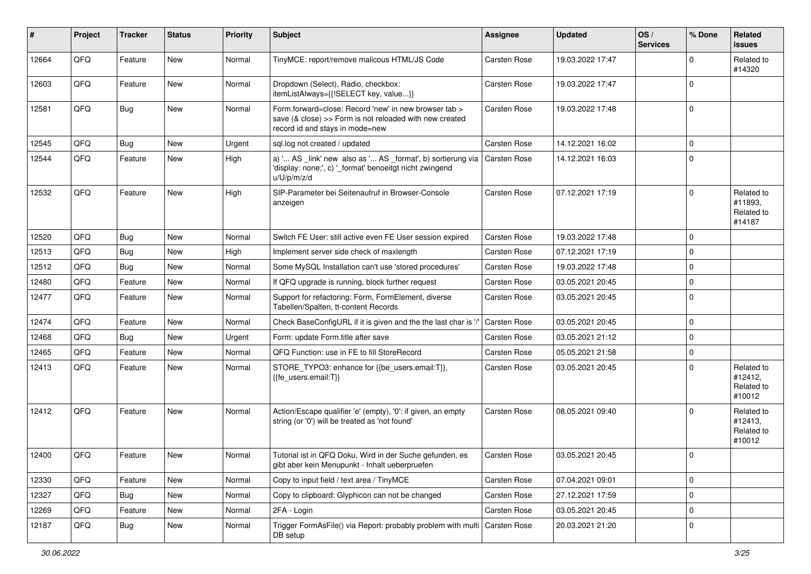| $\sharp$ | Project | <b>Tracker</b> | <b>Status</b> | <b>Priority</b> | <b>Subject</b>                                                                                                                                      | Assignee            | <b>Updated</b>   | OS/<br><b>Services</b> | % Done      | Related<br><b>issues</b>                      |
|----------|---------|----------------|---------------|-----------------|-----------------------------------------------------------------------------------------------------------------------------------------------------|---------------------|------------------|------------------------|-------------|-----------------------------------------------|
| 12664    | QFQ     | Feature        | <b>New</b>    | Normal          | TinyMCE: report/remove malicous HTML/JS Code                                                                                                        | <b>Carsten Rose</b> | 19.03.2022 17:47 |                        | $\mathbf 0$ | Related to<br>#14320                          |
| 12603    | QFQ     | Feature        | New           | Normal          | Dropdown (Select), Radio, checkbox:<br>itemListAlways={{!SELECT key, value}}                                                                        | Carsten Rose        | 19.03.2022 17:47 |                        | $\Omega$    |                                               |
| 12581    | QFQ     | <b>Bug</b>     | New           | Normal          | Form.forward=close: Record 'new' in new browser tab ><br>save (& close) >> Form is not reloaded with new created<br>record id and stays in mode=new | <b>Carsten Rose</b> | 19.03.2022 17:48 |                        | 0           |                                               |
| 12545    | QFQ     | <b>Bug</b>     | <b>New</b>    | Urgent          | sql.log not created / updated                                                                                                                       | Carsten Rose        | 14.12.2021 16:02 |                        | 0           |                                               |
| 12544    | QFQ     | Feature        | New           | High            | a) ' AS _link' new also as ' AS _format', b) sortierung via  <br>'display: none;', c) '_format' benoeitgt nicht zwingend<br>u/U/p/m/z/d             | <b>Carsten Rose</b> | 14.12.2021 16:03 |                        | $\Omega$    |                                               |
| 12532    | QFQ     | Feature        | New           | High            | SIP-Parameter bei Seitenaufruf in Browser-Console<br>anzeigen                                                                                       | Carsten Rose        | 07.12.2021 17:19 |                        | 0           | Related to<br>#11893,<br>Related to<br>#14187 |
| 12520    | QFQ     | <b>Bug</b>     | New           | Normal          | Switch FE User: still active even FE User session expired                                                                                           | Carsten Rose        | 19.03.2022 17:48 |                        | $\mathbf 0$ |                                               |
| 12513    | QFQ     | <b>Bug</b>     | New           | High            | Implement server side check of maxlength                                                                                                            | Carsten Rose        | 07.12.2021 17:19 |                        | $\mathbf 0$ |                                               |
| 12512    | QFQ     | <b>Bug</b>     | New           | Normal          | Some MySQL Installation can't use 'stored procedures'                                                                                               | <b>Carsten Rose</b> | 19.03.2022 17:48 |                        | 0           |                                               |
| 12480    | QFQ     | Feature        | New           | Normal          | If QFQ upgrade is running, block further request                                                                                                    | Carsten Rose        | 03.05.2021 20:45 |                        | $\mathbf 0$ |                                               |
| 12477    | QFQ     | Feature        | New           | Normal          | Support for refactoring: Form, FormElement, diverse<br>Tabellen/Spalten, tt-content Records                                                         | Carsten Rose        | 03.05.2021 20:45 |                        | $\Omega$    |                                               |
| 12474    | QFQ     | Feature        | <b>New</b>    | Normal          | Check BaseConfigURL if it is given and the the last char is '/'                                                                                     | Carsten Rose        | 03.05.2021 20:45 |                        | 0           |                                               |
| 12468    | QFQ     | <b>Bug</b>     | <b>New</b>    | Urgent          | Form: update Form.title after save                                                                                                                  | Carsten Rose        | 03.05.2021 21:12 |                        | 0           |                                               |
| 12465    | QFQ     | Feature        | New           | Normal          | QFQ Function: use in FE to fill StoreRecord                                                                                                         | Carsten Rose        | 05.05.2021 21:58 |                        | 0           |                                               |
| 12413    | QFQ     | Feature        | New           | Normal          | STORE_TYPO3: enhance for {{be_users.email:T}},<br>{{fe_users.email:T}}                                                                              | Carsten Rose        | 03.05.2021 20:45 |                        | $\Omega$    | Related to<br>#12412,<br>Related to<br>#10012 |
| 12412    | QFQ     | Feature        | New           | Normal          | Action/Escape qualifier 'e' (empty), '0': if given, an empty<br>string (or '0') will be treated as 'not found'                                      | Carsten Rose        | 08.05.2021 09:40 |                        | $\Omega$    | Related to<br>#12413,<br>Related to<br>#10012 |
| 12400    | QFQ     | Feature        | New           | Normal          | Tutorial ist in QFQ Doku, Wird in der Suche gefunden, es<br>gibt aber kein Menupunkt - Inhalt ueberpruefen                                          | Carsten Rose        | 03.05.2021 20:45 |                        | $\mathbf 0$ |                                               |
| 12330    | QFQ     | Feature        | New           | Normal          | Copy to input field / text area / TinyMCE                                                                                                           | Carsten Rose        | 07.04.2021 09:01 |                        | 0           |                                               |
| 12327    | QFQ     | <b>Bug</b>     | New           | Normal          | Copy to clipboard: Glyphicon can not be changed                                                                                                     | Carsten Rose        | 27.12.2021 17:59 |                        | $\pmb{0}$   |                                               |
| 12269    | QFQ     | Feature        | New           | Normal          | 2FA - Login                                                                                                                                         | Carsten Rose        | 03.05.2021 20:45 |                        | 0           |                                               |
| 12187    | QFQ     | <b>Bug</b>     | New           | Normal          | Trigger FormAsFile() via Report: probably problem with multi<br>DB setup                                                                            | Carsten Rose        | 20.03.2021 21:20 |                        | 0           |                                               |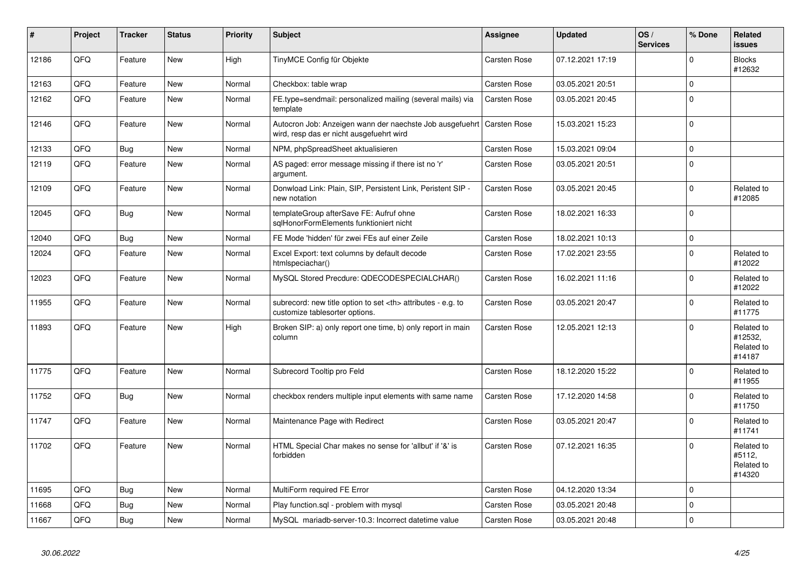| $\vert$ # | Project | <b>Tracker</b> | <b>Status</b> | <b>Priority</b> | <b>Subject</b>                                                                                       | <b>Assignee</b>                                        | <b>Updated</b>   | OS/<br><b>Services</b> | % Done       | <b>Related</b><br>issues                      |                      |
|-----------|---------|----------------|---------------|-----------------|------------------------------------------------------------------------------------------------------|--------------------------------------------------------|------------------|------------------------|--------------|-----------------------------------------------|----------------------|
| 12186     | QFQ     | Feature        | <b>New</b>    | High            | TinyMCE Config für Objekte                                                                           | Carsten Rose                                           | 07.12.2021 17:19 |                        | $\Omega$     | <b>Blocks</b><br>#12632                       |                      |
| 12163     | QFQ     | Feature        | <b>New</b>    | Normal          | Checkbox: table wrap                                                                                 | Carsten Rose                                           | 03.05.2021 20:51 |                        | $\mathbf 0$  |                                               |                      |
| 12162     | QFQ     | Feature        | <b>New</b>    | Normal          | FE.type=sendmail: personalized mailing (several mails) via<br>template                               | <b>Carsten Rose</b>                                    | 03.05.2021 20:45 |                        | $\Omega$     |                                               |                      |
| 12146     | QFQ     | Feature        | <b>New</b>    | Normal          | Autocron Job: Anzeigen wann der naechste Job ausgefuehrt<br>wird, resp das er nicht ausgefuehrt wird | Carsten Rose                                           | 15.03.2021 15:23 |                        | $\mathbf 0$  |                                               |                      |
| 12133     | QFQ     | <b>Bug</b>     | New           | Normal          | NPM, phpSpreadSheet aktualisieren                                                                    | Carsten Rose                                           | 15.03.2021 09:04 |                        | $\mathbf 0$  |                                               |                      |
| 12119     | QFQ     | Feature        | <b>New</b>    | Normal          | AS paged: error message missing if there ist no 'r'<br>argument.                                     | Carsten Rose                                           | 03.05.2021 20:51 |                        | $\mathbf 0$  |                                               |                      |
| 12109     | QFQ     | Feature        | New           | Normal          | Donwload Link: Plain, SIP, Persistent Link, Peristent SIP -<br>new notation                          | Carsten Rose                                           | 03.05.2021 20:45 |                        | $\Omega$     | Related to<br>#12085                          |                      |
| 12045     | QFQ     | <b>Bug</b>     | <b>New</b>    | Normal          | templateGroup afterSave FE: Aufruf ohne<br>sglHonorFormElements funktioniert nicht                   | Carsten Rose                                           | 18.02.2021 16:33 |                        | $\Omega$     |                                               |                      |
| 12040     | QFQ     | Bug            | <b>New</b>    | Normal          | FE Mode 'hidden' für zwei FEs auf einer Zeile                                                        | Carsten Rose                                           | 18.02.2021 10:13 |                        | $\mathbf{0}$ |                                               |                      |
| 12024     | QFQ     | Feature        | <b>New</b>    | Normal          | Excel Export: text columns by default decode<br>htmlspeciachar()                                     | Carsten Rose                                           | 17.02.2021 23:55 |                        | $\mathbf 0$  | Related to<br>#12022                          |                      |
| 12023     | QFQ     | Feature        | <b>New</b>    | Normal          | MySQL Stored Precdure: QDECODESPECIALCHAR()                                                          | Carsten Rose                                           | 16.02.2021 11:16 |                        | $\mathbf 0$  | Related to<br>#12022                          |                      |
| 11955     | QFQ     | Feature        | New           | Normal          | subrecord: new title option to set <th> attributes - e.g. to<br/>customize tablesorter options.</th> | attributes - e.g. to<br>customize tablesorter options. | Carsten Rose     | 03.05.2021 20:47       |              | $\Omega$                                      | Related to<br>#11775 |
| 11893     | QFQ     | Feature        | <b>New</b>    | High            | Broken SIP: a) only report one time, b) only report in main<br>column                                | Carsten Rose                                           | 12.05.2021 12:13 |                        | $\Omega$     | Related to<br>#12532,<br>Related to<br>#14187 |                      |
| 11775     | QFQ     | Feature        | New           | Normal          | Subrecord Tooltip pro Feld                                                                           | Carsten Rose                                           | 18.12.2020 15:22 |                        | $\mathbf 0$  | Related to<br>#11955                          |                      |
| 11752     | QFQ     | Bug            | New           | Normal          | checkbox renders multiple input elements with same name                                              | Carsten Rose                                           | 17.12.2020 14:58 |                        | $\mathbf 0$  | Related to<br>#11750                          |                      |
| 11747     | QFQ     | Feature        | <b>New</b>    | Normal          | Maintenance Page with Redirect                                                                       | Carsten Rose                                           | 03.05.2021 20:47 |                        | $\mathbf 0$  | Related to<br>#11741                          |                      |
| 11702     | QFQ     | Feature        | <b>New</b>    | Normal          | HTML Special Char makes no sense for 'allbut' if '&' is<br>forbidden                                 | Carsten Rose                                           | 07.12.2021 16:35 |                        | $\Omega$     | Related to<br>#5112,<br>Related to<br>#14320  |                      |
| 11695     | QFQ     | Bug            | <b>New</b>    | Normal          | MultiForm required FE Error                                                                          | Carsten Rose                                           | 04.12.2020 13:34 |                        | $\Omega$     |                                               |                      |
| 11668     | QFQ     | <b>Bug</b>     | New           | Normal          | Play function.sgl - problem with mysgl                                                               | Carsten Rose                                           | 03.05.2021 20:48 |                        | $\mathbf 0$  |                                               |                      |
| 11667     | QFQ     | <b>Bug</b>     | New           | Normal          | MySQL mariadb-server-10.3: Incorrect datetime value                                                  | <b>Carsten Rose</b>                                    | 03.05.2021 20:48 |                        | $\Omega$     |                                               |                      |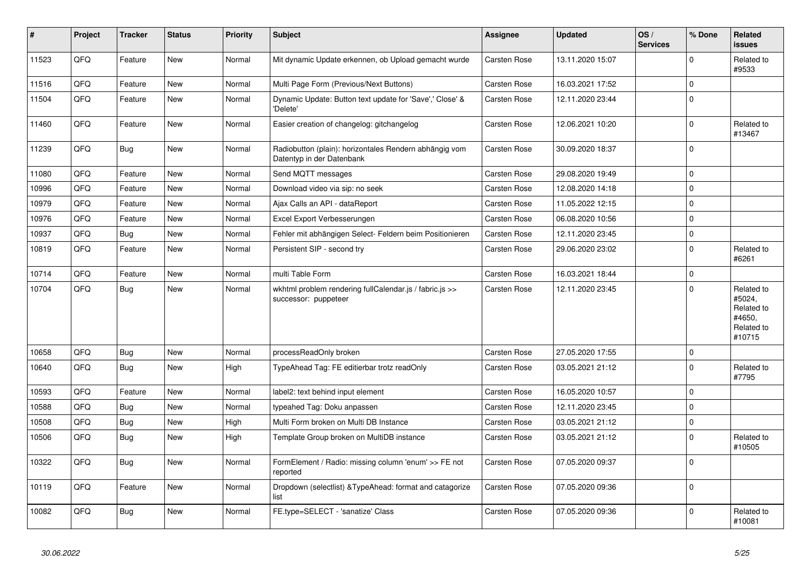| #     | Project | <b>Tracker</b> | <b>Status</b> | <b>Priority</b> | <b>Subject</b>                                                                      | <b>Assignee</b>     | <b>Updated</b>   | OS/<br><b>Services</b> | % Done      | <b>Related</b><br>issues                                             |
|-------|---------|----------------|---------------|-----------------|-------------------------------------------------------------------------------------|---------------------|------------------|------------------------|-------------|----------------------------------------------------------------------|
| 11523 | QFQ     | Feature        | <b>New</b>    | Normal          | Mit dynamic Update erkennen, ob Upload gemacht wurde                                | <b>Carsten Rose</b> | 13.11.2020 15:07 |                        | $\Omega$    | Related to<br>#9533                                                  |
| 11516 | QFQ     | Feature        | <b>New</b>    | Normal          | Multi Page Form (Previous/Next Buttons)                                             | Carsten Rose        | 16.03.2021 17:52 |                        | $\mathbf 0$ |                                                                      |
| 11504 | QFQ     | Feature        | <b>New</b>    | Normal          | Dynamic Update: Button text update for 'Save',' Close' &<br>'Delete'                | Carsten Rose        | 12.11.2020 23:44 |                        | $\Omega$    |                                                                      |
| 11460 | QFQ     | Feature        | <b>New</b>    | Normal          | Easier creation of changelog: gitchangelog                                          | Carsten Rose        | 12.06.2021 10:20 |                        | $\pmb{0}$   | Related to<br>#13467                                                 |
| 11239 | QFQ     | <b>Bug</b>     | <b>New</b>    | Normal          | Radiobutton (plain): horizontales Rendern abhängig vom<br>Datentyp in der Datenbank | Carsten Rose        | 30.09.2020 18:37 |                        | $\Omega$    |                                                                      |
| 11080 | QFQ     | Feature        | New           | Normal          | Send MQTT messages                                                                  | Carsten Rose        | 29.08.2020 19:49 |                        | $\Omega$    |                                                                      |
| 10996 | QFQ     | Feature        | New           | Normal          | Download video via sip: no seek                                                     | Carsten Rose        | 12.08.2020 14:18 |                        | $\mathbf 0$ |                                                                      |
| 10979 | QFQ     | Feature        | <b>New</b>    | Normal          | Ajax Calls an API - dataReport                                                      | Carsten Rose        | 11.05.2022 12:15 |                        | $\mathbf 0$ |                                                                      |
| 10976 | QFQ     | Feature        | <b>New</b>    | Normal          | Excel Export Verbesserungen                                                         | Carsten Rose        | 06.08.2020 10:56 |                        | $\mathbf 0$ |                                                                      |
| 10937 | QFQ     | <b>Bug</b>     | <b>New</b>    | Normal          | Fehler mit abhängigen Select- Feldern beim Positionieren                            | <b>Carsten Rose</b> | 12.11.2020 23:45 |                        | $\mathbf 0$ |                                                                      |
| 10819 | QFQ     | Feature        | New           | Normal          | Persistent SIP - second try                                                         | Carsten Rose        | 29.06.2020 23:02 |                        | $\mathbf 0$ | Related to<br>#6261                                                  |
| 10714 | QFQ     | Feature        | New           | Normal          | multi Table Form                                                                    | Carsten Rose        | 16.03.2021 18:44 |                        | $\Omega$    |                                                                      |
| 10704 | QFQ     | Bug            | New           | Normal          | wkhtml problem rendering fullCalendar.js / fabric.js >><br>successor: puppeteer     | Carsten Rose        | 12.11.2020 23:45 |                        | $\Omega$    | Related to<br>#5024,<br>Related to<br>#4650.<br>Related to<br>#10715 |
| 10658 | QFQ     | <b>Bug</b>     | <b>New</b>    | Normal          | processReadOnly broken                                                              | Carsten Rose        | 27.05.2020 17:55 |                        | $\mathbf 0$ |                                                                      |
| 10640 | QFQ     | <b>Bug</b>     | <b>New</b>    | High            | TypeAhead Tag: FE editierbar trotz readOnly                                         | <b>Carsten Rose</b> | 03.05.2021 21:12 |                        | $\mathbf 0$ | Related to<br>#7795                                                  |
| 10593 | QFQ     | Feature        | <b>New</b>    | Normal          | label2: text behind input element                                                   | Carsten Rose        | 16.05.2020 10:57 |                        | $\mathbf 0$ |                                                                      |
| 10588 | QFQ     | Bug            | <b>New</b>    | Normal          | typeahed Tag: Doku anpassen                                                         | Carsten Rose        | 12.11.2020 23:45 |                        | $\mathbf 0$ |                                                                      |
| 10508 | QFQ     | <b>Bug</b>     | <b>New</b>    | High            | Multi Form broken on Multi DB Instance                                              | Carsten Rose        | 03.05.2021 21:12 |                        | $\pmb{0}$   |                                                                      |
| 10506 | QFQ     | Bug            | <b>New</b>    | High            | Template Group broken on MultiDB instance                                           | Carsten Rose        | 03.05.2021 21:12 |                        | $\mathbf 0$ | Related to<br>#10505                                                 |
| 10322 | QFQ     | <b>Bug</b>     | New           | Normal          | FormElement / Radio: missing column 'enum' >> FE not<br>reported                    | Carsten Rose        | 07.05.2020 09:37 |                        | $\mathbf 0$ |                                                                      |
| 10119 | QFQ     | Feature        | New           | Normal          | Dropdown (selectlist) & Type Ahead: format and catagorize<br>list                   | <b>Carsten Rose</b> | 07.05.2020 09:36 |                        | $\Omega$    |                                                                      |
| 10082 | QFQ     | Bug            | New           | Normal          | FE.type=SELECT - 'sanatize' Class                                                   | Carsten Rose        | 07.05.2020 09:36 |                        | $\Omega$    | Related to<br>#10081                                                 |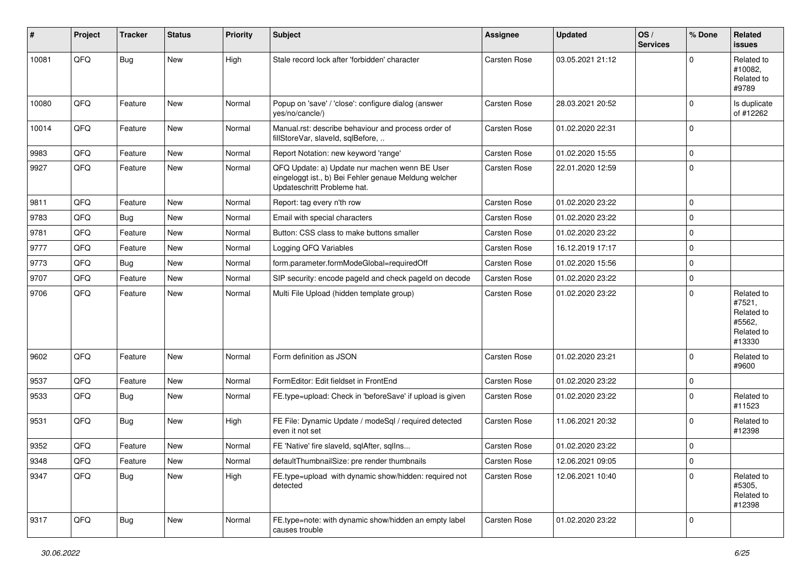| #     | Project | <b>Tracker</b> | <b>Status</b> | <b>Priority</b> | <b>Subject</b>                                                                                                                        | <b>Assignee</b>     | <b>Updated</b>   | OS/<br><b>Services</b> | % Done      | <b>Related</b><br>issues                                             |
|-------|---------|----------------|---------------|-----------------|---------------------------------------------------------------------------------------------------------------------------------------|---------------------|------------------|------------------------|-------------|----------------------------------------------------------------------|
| 10081 | QFQ     | Bug            | <b>New</b>    | High            | Stale record lock after 'forbidden' character                                                                                         | <b>Carsten Rose</b> | 03.05.2021 21:12 |                        | $\Omega$    | Related to<br>#10082.<br>Related to<br>#9789                         |
| 10080 | QFQ     | Feature        | <b>New</b>    | Normal          | Popup on 'save' / 'close': configure dialog (answer<br>yes/no/cancle/)                                                                | Carsten Rose        | 28.03.2021 20:52 |                        | $\Omega$    | Is duplicate<br>of #12262                                            |
| 10014 | QFQ     | Feature        | New           | Normal          | Manual.rst: describe behaviour and process order of<br>fillStoreVar, slaveId, sqlBefore,                                              | Carsten Rose        | 01.02.2020 22:31 |                        | $\mathbf 0$ |                                                                      |
| 9983  | QFQ     | Feature        | New           | Normal          | Report Notation: new keyword 'range'                                                                                                  | Carsten Rose        | 01.02.2020 15:55 |                        | $\mathbf 0$ |                                                                      |
| 9927  | QFQ     | Feature        | New           | Normal          | QFQ Update: a) Update nur machen wenn BE User<br>eingeloggt ist., b) Bei Fehler genaue Meldung welcher<br>Updateschritt Probleme hat. | <b>Carsten Rose</b> | 22.01.2020 12:59 |                        | $\Omega$    |                                                                      |
| 9811  | QFQ     | Feature        | <b>New</b>    | Normal          | Report: tag every n'th row                                                                                                            | Carsten Rose        | 01.02.2020 23:22 |                        | $\mathbf 0$ |                                                                      |
| 9783  | QFQ     | <b>Bug</b>     | New           | Normal          | Email with special characters                                                                                                         | Carsten Rose        | 01.02.2020 23:22 |                        | $\Omega$    |                                                                      |
| 9781  | QFQ     | Feature        | New           | Normal          | Button: CSS class to make buttons smaller                                                                                             | Carsten Rose        | 01.02.2020 23:22 |                        | $\mathbf 0$ |                                                                      |
| 9777  | QFQ     | Feature        | New           | Normal          | Logging QFQ Variables                                                                                                                 | <b>Carsten Rose</b> | 16.12.2019 17:17 |                        | $\mathbf 0$ |                                                                      |
| 9773  | QFQ     | Bug            | <b>New</b>    | Normal          | form.parameter.formModeGlobal=requiredOff                                                                                             | Carsten Rose        | 01.02.2020 15:56 |                        | $\mathbf 0$ |                                                                      |
| 9707  | QFQ     | Feature        | New           | Normal          | SIP security: encode pageld and check pageld on decode                                                                                | <b>Carsten Rose</b> | 01.02.2020 23:22 |                        | $\mathbf 0$ |                                                                      |
| 9706  | QFQ     | Feature        | New           | Normal          | Multi File Upload (hidden template group)                                                                                             | Carsten Rose        | 01.02.2020 23:22 |                        | $\mathbf 0$ | Related to<br>#7521,<br>Related to<br>#5562.<br>Related to<br>#13330 |
| 9602  | QFQ     | Feature        | New           | Normal          | Form definition as JSON                                                                                                               | Carsten Rose        | 01.02.2020 23:21 |                        | $\mathbf 0$ | Related to<br>#9600                                                  |
| 9537  | QFQ     | Feature        | <b>New</b>    | Normal          | FormEditor: Edit fieldset in FrontEnd                                                                                                 | Carsten Rose        | 01.02.2020 23:22 |                        | $\mathbf 0$ |                                                                      |
| 9533  | QFQ     | Bug            | New           | Normal          | FE.type=upload: Check in 'beforeSave' if upload is given                                                                              | <b>Carsten Rose</b> | 01.02.2020 23:22 |                        | $\Omega$    | Related to<br>#11523                                                 |
| 9531  | QFQ     | <b>Bug</b>     | New           | High            | FE File: Dynamic Update / modeSql / required detected<br>even it not set                                                              | <b>Carsten Rose</b> | 11.06.2021 20:32 |                        | $\Omega$    | Related to<br>#12398                                                 |
| 9352  | QFQ     | Feature        | New           | Normal          | FE 'Native' fire slaveld, sqlAfter, sqlIns                                                                                            | Carsten Rose        | 01.02.2020 23:22 |                        | $\mathbf 0$ |                                                                      |
| 9348  | QFG     | Feature        | New           | Normal          | defaultThumbnailSize: pre render thumbnails                                                                                           | Carsten Rose        | 12.06.2021 09:05 |                        | 0           |                                                                      |
| 9347  | QFQ     | Bug            | New           | High            | FE.type=upload with dynamic show/hidden: required not<br>detected                                                                     | Carsten Rose        | 12.06.2021 10:40 |                        | $\Omega$    | Related to<br>#5305,<br>Related to<br>#12398                         |
| 9317  | QFQ     | <b>Bug</b>     | New           | Normal          | FE.type=note: with dynamic show/hidden an empty label<br>causes trouble                                                               | Carsten Rose        | 01.02.2020 23:22 |                        | 0           |                                                                      |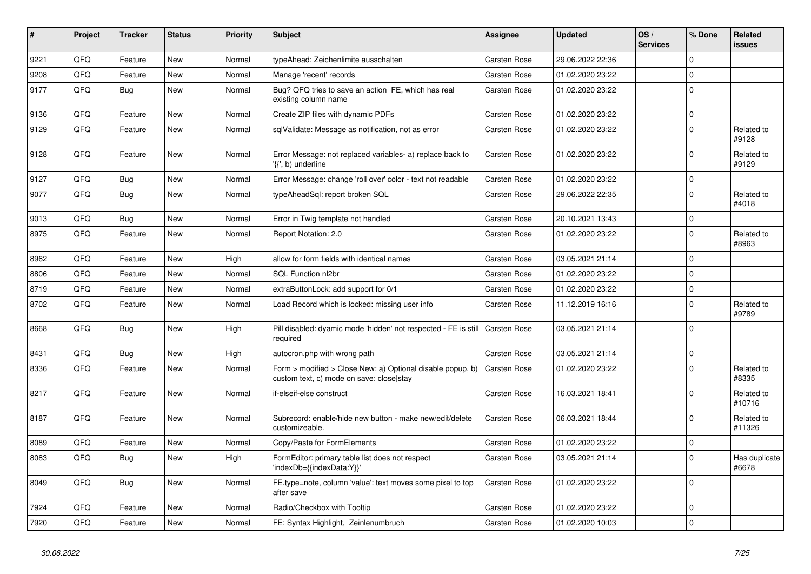| #    | Project | <b>Tracker</b> | <b>Status</b> | <b>Priority</b> | <b>Subject</b>                                                                                         | <b>Assignee</b>     | <b>Updated</b>   | OS/<br><b>Services</b> | % Done      | <b>Related</b><br>issues |
|------|---------|----------------|---------------|-----------------|--------------------------------------------------------------------------------------------------------|---------------------|------------------|------------------------|-------------|--------------------------|
| 9221 | QFQ     | Feature        | <b>New</b>    | Normal          | typeAhead: Zeichenlimite ausschalten                                                                   | <b>Carsten Rose</b> | 29.06.2022 22:36 |                        | $\Omega$    |                          |
| 9208 | QFQ     | Feature        | <b>New</b>    | Normal          | Manage 'recent' records                                                                                | <b>Carsten Rose</b> | 01.02.2020 23:22 |                        | $\Omega$    |                          |
| 9177 | QFQ     | <b>Bug</b>     | <b>New</b>    | Normal          | Bug? QFQ tries to save an action FE, which has real<br>existing column name                            | <b>Carsten Rose</b> | 01.02.2020 23:22 |                        | $\Omega$    |                          |
| 9136 | QFQ     | Feature        | <b>New</b>    | Normal          | Create ZIP files with dynamic PDFs                                                                     | Carsten Rose        | 01.02.2020 23:22 |                        | $\mathbf 0$ |                          |
| 9129 | QFQ     | Feature        | <b>New</b>    | Normal          | sqlValidate: Message as notification, not as error                                                     | <b>Carsten Rose</b> | 01.02.2020 23:22 |                        | $\mathbf 0$ | Related to<br>#9128      |
| 9128 | QFQ     | Feature        | <b>New</b>    | Normal          | Error Message: not replaced variables- a) replace back to<br>'{{', b) underline                        | Carsten Rose        | 01.02.2020 23:22 |                        | $\Omega$    | Related to<br>#9129      |
| 9127 | QFQ     | Bug            | New           | Normal          | Error Message: change 'roll over' color - text not readable                                            | <b>Carsten Rose</b> | 01.02.2020 23:22 |                        | $\mathbf 0$ |                          |
| 9077 | QFQ     | Bug            | <b>New</b>    | Normal          | typeAheadSql: report broken SQL                                                                        | Carsten Rose        | 29.06.2022 22:35 |                        | $\mathbf 0$ | Related to<br>#4018      |
| 9013 | QFQ     | Bug            | <b>New</b>    | Normal          | Error in Twig template not handled                                                                     | <b>Carsten Rose</b> | 20.10.2021 13:43 |                        | $\mathbf 0$ |                          |
| 8975 | QFQ     | Feature        | <b>New</b>    | Normal          | Report Notation: 2.0                                                                                   | Carsten Rose        | 01.02.2020 23:22 |                        | $\mathbf 0$ | Related to<br>#8963      |
| 8962 | QFQ     | Feature        | <b>New</b>    | High            | allow for form fields with identical names                                                             | <b>Carsten Rose</b> | 03.05.2021 21:14 |                        | $\mathbf 0$ |                          |
| 8806 | QFQ     | Feature        | <b>New</b>    | Normal          | SQL Function nl2br                                                                                     | <b>Carsten Rose</b> | 01.02.2020 23:22 |                        | $\mathbf 0$ |                          |
| 8719 | QFQ     | Feature        | <b>New</b>    | Normal          | extraButtonLock: add support for 0/1                                                                   | Carsten Rose        | 01.02.2020 23:22 |                        | $\mathbf 0$ |                          |
| 8702 | QFQ     | Feature        | <b>New</b>    | Normal          | Load Record which is locked: missing user info                                                         | <b>Carsten Rose</b> | 11.12.2019 16:16 |                        | $\mathbf 0$ | Related to<br>#9789      |
| 8668 | QFQ     | Bug            | <b>New</b>    | High            | Pill disabled: dyamic mode 'hidden' not respected - FE is still<br>required                            | <b>Carsten Rose</b> | 03.05.2021 21:14 |                        | $\Omega$    |                          |
| 8431 | QFQ     | <b>Bug</b>     | <b>New</b>    | High            | autocron.php with wrong path                                                                           | <b>Carsten Rose</b> | 03.05.2021 21:14 |                        | $\Omega$    |                          |
| 8336 | QFQ     | Feature        | <b>New</b>    | Normal          | Form > modified > Close New: a) Optional disable popup, b)<br>custom text, c) mode on save: closelstay | <b>Carsten Rose</b> | 01.02.2020 23:22 |                        | $\Omega$    | Related to<br>#8335      |
| 8217 | QFQ     | Feature        | <b>New</b>    | Normal          | if-elseif-else construct                                                                               | <b>Carsten Rose</b> | 16.03.2021 18:41 |                        | $\mathbf 0$ | Related to<br>#10716     |
| 8187 | QFQ     | Feature        | New           | Normal          | Subrecord: enable/hide new button - make new/edit/delete<br>customizeable.                             | Carsten Rose        | 06.03.2021 18:44 |                        | $\Omega$    | Related to<br>#11326     |
| 8089 | QFQ     | Feature        | <b>New</b>    | Normal          | Copy/Paste for FormElements                                                                            | <b>Carsten Rose</b> | 01.02.2020 23:22 |                        | $\mathbf 0$ |                          |
| 8083 | QFQ     | Bug            | <b>New</b>    | High            | FormEditor: primary table list does not respect<br>'indexDb={{indexData:Y}}'                           | Carsten Rose        | 03.05.2021 21:14 |                        | $\mathbf 0$ | Has duplicate<br>#6678   |
| 8049 | QFQ     | <b>Bug</b>     | <b>New</b>    | Normal          | FE.type=note, column 'value': text moves some pixel to top<br>after save                               | Carsten Rose        | 01.02.2020 23:22 |                        | $\Omega$    |                          |
| 7924 | QFQ     | Feature        | <b>New</b>    | Normal          | Radio/Checkbox with Tooltip                                                                            | <b>Carsten Rose</b> | 01.02.2020 23:22 |                        | $\mathbf 0$ |                          |
| 7920 | QFQ     | Feature        | <b>New</b>    | Normal          | FE: Syntax Highlight, Zeinlenumbruch                                                                   | <b>Carsten Rose</b> | 01.02.2020 10:03 |                        | $\mathbf 0$ |                          |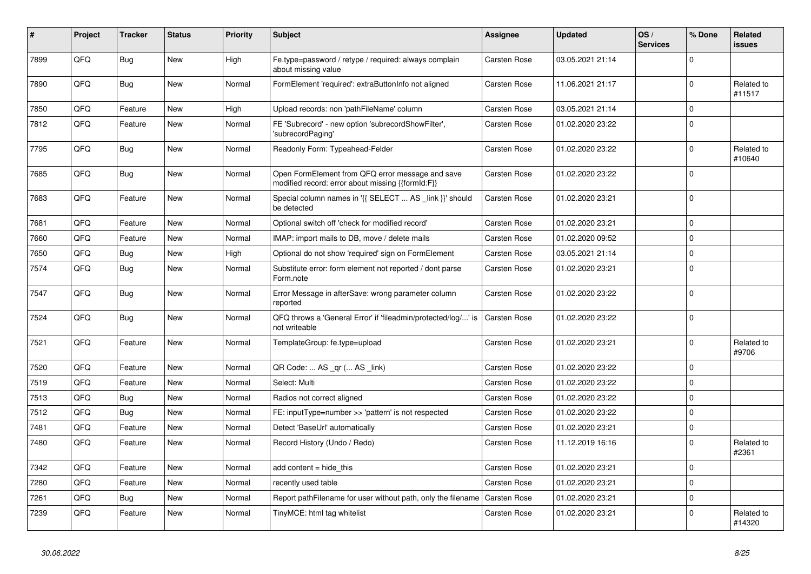| #    | Project | <b>Tracker</b> | <b>Status</b> | <b>Priority</b> | <b>Subject</b>                                                                                        | <b>Assignee</b>     | <b>Updated</b>   | OS/<br><b>Services</b> | % Done      | Related<br><b>issues</b> |
|------|---------|----------------|---------------|-----------------|-------------------------------------------------------------------------------------------------------|---------------------|------------------|------------------------|-------------|--------------------------|
| 7899 | QFQ     | <b>Bug</b>     | <b>New</b>    | High            | Fe.type=password / retype / required: always complain<br>about missing value                          | Carsten Rose        | 03.05.2021 21:14 |                        | $\Omega$    |                          |
| 7890 | QFQ     | Bug            | <b>New</b>    | Normal          | FormElement 'required': extraButtonInfo not aligned                                                   | Carsten Rose        | 11.06.2021 21:17 |                        | $\mathbf 0$ | Related to<br>#11517     |
| 7850 | QFQ     | Feature        | <b>New</b>    | High            | Upload records: non 'pathFileName' column                                                             | Carsten Rose        | 03.05.2021 21:14 |                        | $\Omega$    |                          |
| 7812 | QFQ     | Feature        | New           | Normal          | FE 'Subrecord' - new option 'subrecordShowFilter',<br>'subrecordPaging'                               | Carsten Rose        | 01.02.2020 23:22 |                        | $\mathbf 0$ |                          |
| 7795 | QFQ     | <b>Bug</b>     | New           | Normal          | Readonly Form: Typeahead-Felder                                                                       | Carsten Rose        | 01.02.2020 23:22 |                        | $\Omega$    | Related to<br>#10640     |
| 7685 | QFQ     | Bug            | <b>New</b>    | Normal          | Open FormElement from QFQ error message and save<br>modified record: error about missing {{formId:F}} | Carsten Rose        | 01.02.2020 23:22 |                        | $\Omega$    |                          |
| 7683 | QFQ     | Feature        | <b>New</b>    | Normal          | Special column names in '{{ SELECT  AS _link }}' should<br>be detected                                | Carsten Rose        | 01.02.2020 23:21 |                        | $\mathbf 0$ |                          |
| 7681 | QFQ     | Feature        | New           | Normal          | Optional switch off 'check for modified record'                                                       | Carsten Rose        | 01.02.2020 23:21 |                        | $\Omega$    |                          |
| 7660 | QFQ     | Feature        | New           | Normal          | IMAP: import mails to DB, move / delete mails                                                         | Carsten Rose        | 01.02.2020 09:52 |                        | $\mathbf 0$ |                          |
| 7650 | QFQ     | Bug            | New           | High            | Optional do not show 'required' sign on FormElement                                                   | Carsten Rose        | 03.05.2021 21:14 |                        | $\Omega$    |                          |
| 7574 | QFQ     | <b>Bug</b>     | New           | Normal          | Substitute error: form element not reported / dont parse<br>Form.note                                 | Carsten Rose        | 01.02.2020 23:21 |                        | $\mathbf 0$ |                          |
| 7547 | QFQ     | Bug            | New           | Normal          | Error Message in afterSave: wrong parameter column<br>reported                                        | Carsten Rose        | 01.02.2020 23:22 |                        | $\Omega$    |                          |
| 7524 | QFQ     | Bug            | New           | Normal          | QFQ throws a 'General Error' if 'fileadmin/protected/log/' is<br>not writeable                        | <b>Carsten Rose</b> | 01.02.2020 23:22 |                        | $\Omega$    |                          |
| 7521 | QFQ     | Feature        | <b>New</b>    | Normal          | TemplateGroup: fe.type=upload                                                                         | Carsten Rose        | 01.02.2020 23:21 |                        | $\Omega$    | Related to<br>#9706      |
| 7520 | QFQ     | Feature        | New           | Normal          | QR Code:  AS _qr ( AS _link)                                                                          | Carsten Rose        | 01.02.2020 23:22 |                        | $\Omega$    |                          |
| 7519 | QFQ     | Feature        | New           | Normal          | Select: Multi                                                                                         | Carsten Rose        | 01.02.2020 23:22 |                        | $\mathbf 0$ |                          |
| 7513 | QFQ     | Bug            | New           | Normal          | Radios not correct aligned                                                                            | Carsten Rose        | 01.02.2020 23:22 |                        | $\Omega$    |                          |
| 7512 | QFQ     | Bug            | New           | Normal          | FE: inputType=number >> 'pattern' is not respected                                                    | Carsten Rose        | 01.02.2020 23:22 |                        | $\mathbf 0$ |                          |
| 7481 | QFQ     | Feature        | New           | Normal          | Detect 'BaseUrl' automatically                                                                        | Carsten Rose        | 01.02.2020 23:21 |                        | $\Omega$    |                          |
| 7480 | QFQ     | Feature        | New           | Normal          | Record History (Undo / Redo)                                                                          | Carsten Rose        | 11.12.2019 16:16 |                        | $\Omega$    | Related to<br>#2361      |
| 7342 | QFQ     | Feature        | <b>New</b>    | Normal          | add content = hide this                                                                               | <b>Carsten Rose</b> | 01.02.2020 23:21 |                        | $\Omega$    |                          |
| 7280 | QFQ     | Feature        | New           | Normal          | recently used table                                                                                   | Carsten Rose        | 01.02.2020 23:21 |                        | $\mathbf 0$ |                          |
| 7261 | QFQ     | <b>Bug</b>     | New           | Normal          | Report pathFilename for user without path, only the filename                                          | <b>Carsten Rose</b> | 01.02.2020 23:21 |                        | $\Omega$    |                          |
| 7239 | QFQ     | Feature        | <b>New</b>    | Normal          | TinyMCE: html tag whitelist                                                                           | Carsten Rose        | 01.02.2020 23:21 |                        | $\Omega$    | Related to<br>#14320     |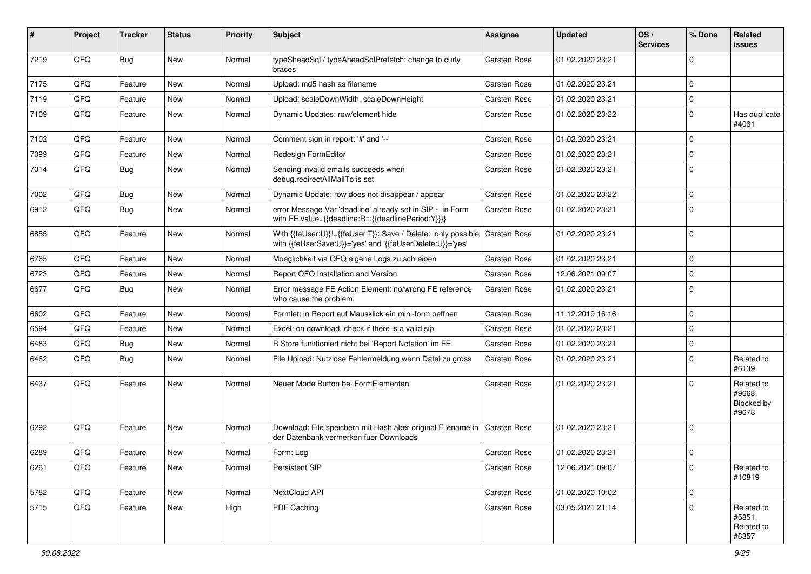| #    | Project | <b>Tracker</b> | <b>Status</b> | <b>Priority</b> | <b>Subject</b>                                                                                                             | <b>Assignee</b>     | <b>Updated</b>   | OS/<br><b>Services</b> | % Done      | Related<br>issues                           |
|------|---------|----------------|---------------|-----------------|----------------------------------------------------------------------------------------------------------------------------|---------------------|------------------|------------------------|-------------|---------------------------------------------|
| 7219 | QFQ     | Bug            | New           | Normal          | typeSheadSql / typeAheadSqlPrefetch: change to curly<br>braces                                                             | Carsten Rose        | 01.02.2020 23:21 |                        | $\Omega$    |                                             |
| 7175 | QFQ     | Feature        | New           | Normal          | Upload: md5 hash as filename                                                                                               | Carsten Rose        | 01.02.2020 23:21 |                        | $\Omega$    |                                             |
| 7119 | QFQ     | Feature        | New           | Normal          | Upload: scaleDownWidth, scaleDownHeight                                                                                    | Carsten Rose        | 01.02.2020 23:21 |                        | $\Omega$    |                                             |
| 7109 | QFQ     | Feature        | New           | Normal          | Dynamic Updates: row/element hide                                                                                          | Carsten Rose        | 01.02.2020 23:22 |                        | $\Omega$    | Has duplicate<br>#4081                      |
| 7102 | QFQ     | Feature        | New           | Normal          | Comment sign in report: '#' and '--'                                                                                       | Carsten Rose        | 01.02.2020 23:21 |                        | $\mathbf 0$ |                                             |
| 7099 | QFQ     | Feature        | New           | Normal          | Redesign FormEditor                                                                                                        | Carsten Rose        | 01.02.2020 23:21 |                        | $\Omega$    |                                             |
| 7014 | QFQ     | Bug            | New           | Normal          | Sending invalid emails succeeds when<br>debug.redirectAllMailTo is set                                                     | Carsten Rose        | 01.02.2020 23:21 |                        | $\Omega$    |                                             |
| 7002 | QFQ     | <b>Bug</b>     | New           | Normal          | Dynamic Update: row does not disappear / appear                                                                            | Carsten Rose        | 01.02.2020 23:22 |                        | $\mathbf 0$ |                                             |
| 6912 | QFQ     | <b>Bug</b>     | New           | Normal          | error Message Var 'deadline' already set in SIP - in Form<br>with FE.value={{deadline:R:::{{deadlinePeriod:Y}}}}           | Carsten Rose        | 01.02.2020 23:21 |                        | $\Omega$    |                                             |
| 6855 | QFQ     | Feature        | New           | Normal          | With {{feUser:U}}!={{feUser:T}}: Save / Delete: only possible<br>with {{feUserSave:U}}='yes' and '{{feUserDelete:U}}='yes' | l Carsten Rose      | 01.02.2020 23:21 |                        | $\Omega$    |                                             |
| 6765 | QFQ     | Feature        | New           | Normal          | Moeglichkeit via QFQ eigene Logs zu schreiben                                                                              | Carsten Rose        | 01.02.2020 23:21 |                        | $\Omega$    |                                             |
| 6723 | QFQ     | Feature        | <b>New</b>    | Normal          | Report QFQ Installation and Version                                                                                        | Carsten Rose        | 12.06.2021 09:07 |                        | $\Omega$    |                                             |
| 6677 | QFQ     | Bug            | New           | Normal          | Error message FE Action Element: no/wrong FE reference<br>who cause the problem.                                           | Carsten Rose        | 01.02.2020 23:21 |                        | $\Omega$    |                                             |
| 6602 | QFQ     | Feature        | New           | Normal          | Formlet: in Report auf Mausklick ein mini-form oeffnen                                                                     | Carsten Rose        | 11.12.2019 16:16 |                        | $\Omega$    |                                             |
| 6594 | QFQ     | Feature        | New           | Normal          | Excel: on download, check if there is a valid sip                                                                          | Carsten Rose        | 01.02.2020 23:21 |                        | $\Omega$    |                                             |
| 6483 | QFQ     | Bug            | New           | Normal          | R Store funktioniert nicht bei 'Report Notation' im FE                                                                     | Carsten Rose        | 01.02.2020 23:21 |                        | $\Omega$    |                                             |
| 6462 | QFQ     | Bug            | New           | Normal          | File Upload: Nutzlose Fehlermeldung wenn Datei zu gross                                                                    | Carsten Rose        | 01.02.2020 23:21 |                        | $\Omega$    | Related to<br>#6139                         |
| 6437 | QFQ     | Feature        | <b>New</b>    | Normal          | Neuer Mode Button bei FormElementen                                                                                        | Carsten Rose        | 01.02.2020 23:21 |                        | $\Omega$    | Related to<br>#9668,<br>Blocked by<br>#9678 |
| 6292 | QFQ     | Feature        | New           | Normal          | Download: File speichern mit Hash aber original Filename in   Carsten Rose<br>der Datenbank vermerken fuer Downloads       |                     | 01.02.2020 23:21 |                        | $\Omega$    |                                             |
| 6289 | QFQ     | Feature        | New           | Normal          | Form: Log                                                                                                                  | Carsten Rose        | 01.02.2020 23:21 |                        | $\Omega$    |                                             |
| 6261 | QFQ     | Feature        | New           | Normal          | Persistent SIP                                                                                                             | Carsten Rose        | 12.06.2021 09:07 |                        | $\mathbf 0$ | Related to<br>#10819                        |
| 5782 | QFQ     | Feature        | New           | Normal          | NextCloud API                                                                                                              | <b>Carsten Rose</b> | 01.02.2020 10:02 |                        | $\pmb{0}$   |                                             |
| 5715 | QFQ     | Feature        | New           | High            | PDF Caching                                                                                                                | Carsten Rose        | 03.05.2021 21:14 |                        | 0           | Related to<br>#5851,<br>Related to<br>#6357 |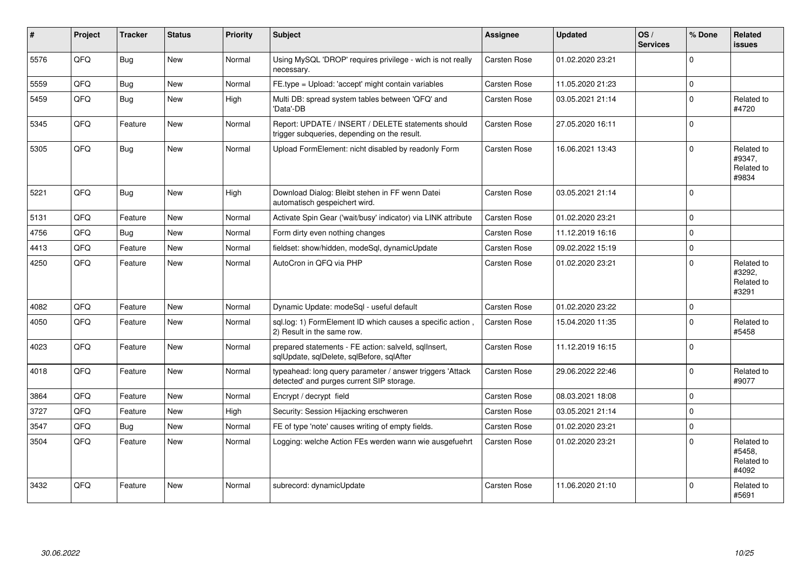| #    | Project | <b>Tracker</b> | <b>Status</b> | <b>Priority</b> | <b>Subject</b>                                                                                         | <b>Assignee</b> | <b>Updated</b>   | OS/<br><b>Services</b> | % Done      | <b>Related</b><br><b>issues</b>             |
|------|---------|----------------|---------------|-----------------|--------------------------------------------------------------------------------------------------------|-----------------|------------------|------------------------|-------------|---------------------------------------------|
| 5576 | QFQ     | Bug            | <b>New</b>    | Normal          | Using MySQL 'DROP' requires privilege - wich is not really<br>necessary.                               | Carsten Rose    | 01.02.2020 23:21 |                        | $\Omega$    |                                             |
| 5559 | QFQ     | <b>Bug</b>     | <b>New</b>    | Normal          | FE.type = Upload: 'accept' might contain variables                                                     | Carsten Rose    | 11.05.2020 21:23 |                        | $\Omega$    |                                             |
| 5459 | QFQ     | <b>Bug</b>     | <b>New</b>    | High            | Multi DB: spread system tables between 'QFQ' and<br>'Data'-DB                                          | Carsten Rose    | 03.05.2021 21:14 |                        | $\mathbf 0$ | Related to<br>#4720                         |
| 5345 | QFQ     | Feature        | New           | Normal          | Report: UPDATE / INSERT / DELETE statements should<br>trigger subqueries, depending on the result.     | Carsten Rose    | 27.05.2020 16:11 |                        | $\mathbf 0$ |                                             |
| 5305 | QFQ     | Bug            | <b>New</b>    | Normal          | Upload FormElement: nicht disabled by readonly Form                                                    | Carsten Rose    | 16.06.2021 13:43 |                        | $\Omega$    | Related to<br>#9347,<br>Related to<br>#9834 |
| 5221 | QFQ     | <b>Bug</b>     | New           | High            | Download Dialog: Bleibt stehen in FF wenn Datei<br>automatisch gespeichert wird.                       | Carsten Rose    | 03.05.2021 21:14 |                        | $\Omega$    |                                             |
| 5131 | QFQ     | Feature        | <b>New</b>    | Normal          | Activate Spin Gear ('wait/busy' indicator) via LINK attribute                                          | Carsten Rose    | 01.02.2020 23:21 |                        | $\Omega$    |                                             |
| 4756 | QFQ     | <b>Bug</b>     | <b>New</b>    | Normal          | Form dirty even nothing changes                                                                        | Carsten Rose    | 11.12.2019 16:16 |                        | $\mathbf 0$ |                                             |
| 4413 | QFQ     | Feature        | <b>New</b>    | Normal          | fieldset: show/hidden, modeSql, dynamicUpdate                                                          | Carsten Rose    | 09.02.2022 15:19 |                        | $\mathbf 0$ |                                             |
| 4250 | QFQ     | Feature        | New           | Normal          | AutoCron in QFQ via PHP                                                                                | Carsten Rose    | 01.02.2020 23:21 |                        | $\mathbf 0$ | Related to<br>#3292.<br>Related to<br>#3291 |
| 4082 | QFQ     | Feature        | <b>New</b>    | Normal          | Dynamic Update: modeSgl - useful default                                                               | Carsten Rose    | 01.02.2020 23:22 |                        | $\mathbf 0$ |                                             |
| 4050 | QFQ     | Feature        | <b>New</b>    | Normal          | sql.log: 1) FormElement ID which causes a specific action,<br>2) Result in the same row.               | Carsten Rose    | 15.04.2020 11:35 |                        | $\mathbf 0$ | Related to<br>#5458                         |
| 4023 | QFQ     | Feature        | New           | Normal          | prepared statements - FE action: salveld, sqlInsert,<br>sqlUpdate, sqlDelete, sqlBefore, sqlAfter      | Carsten Rose    | 11.12.2019 16:15 |                        | $\Omega$    |                                             |
| 4018 | QFQ     | Feature        | <b>New</b>    | Normal          | typeahead: long query parameter / answer triggers 'Attack<br>detected' and purges current SIP storage. | Carsten Rose    | 29.06.2022 22:46 |                        | $\Omega$    | Related to<br>#9077                         |
| 3864 | QFQ     | Feature        | <b>New</b>    | Normal          | Encrypt / decrypt field                                                                                | Carsten Rose    | 08.03.2021 18:08 |                        | $\Omega$    |                                             |
| 3727 | QFQ     | Feature        | <b>New</b>    | High            | Security: Session Hijacking erschweren                                                                 | Carsten Rose    | 03.05.2021 21:14 |                        | $\mathbf 0$ |                                             |
| 3547 | QFQ     | <b>Bug</b>     | <b>New</b>    | Normal          | FE of type 'note' causes writing of empty fields.                                                      | Carsten Rose    | 01.02.2020 23:21 |                        | $\Omega$    |                                             |
| 3504 | QFQ     | Feature        | New           | Normal          | Logging: welche Action FEs werden wann wie ausgefuehrt                                                 | Carsten Rose    | 01.02.2020 23:21 |                        | $\Omega$    | Related to<br>#5458.<br>Related to<br>#4092 |
| 3432 | QFQ     | Feature        | <b>New</b>    | Normal          | subrecord: dynamicUpdate                                                                               | Carsten Rose    | 11.06.2020 21:10 |                        | $\Omega$    | Related to<br>#5691                         |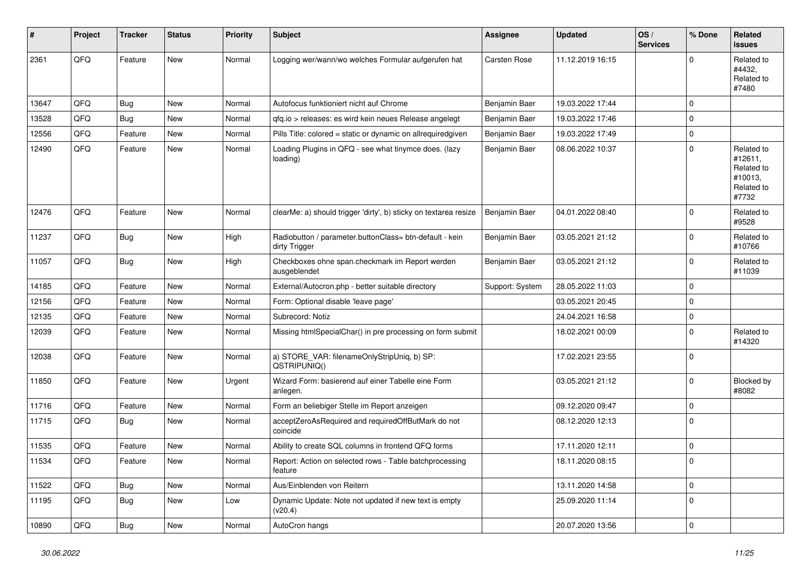| #     | Project | <b>Tracker</b> | <b>Status</b> | <b>Priority</b> | <b>Subject</b>                                                           | <b>Assignee</b>     | <b>Updated</b>   | OS/<br><b>Services</b> | % Done      | Related<br><b>issues</b>                                              |
|-------|---------|----------------|---------------|-----------------|--------------------------------------------------------------------------|---------------------|------------------|------------------------|-------------|-----------------------------------------------------------------------|
| 2361  | QFQ     | Feature        | New           | Normal          | Logging wer/wann/wo welches Formular aufgerufen hat                      | <b>Carsten Rose</b> | 11.12.2019 16:15 |                        | 0           | Related to<br>#4432,<br>Related to<br>#7480                           |
| 13647 | QFQ     | Bug            | <b>New</b>    | Normal          | Autofocus funktioniert nicht auf Chrome                                  | Benjamin Baer       | 19.03.2022 17:44 |                        | $\Omega$    |                                                                       |
| 13528 | QFQ     | <b>Bug</b>     | New           | Normal          | qfq.io > releases: es wird kein neues Release angelegt                   | Benjamin Baer       | 19.03.2022 17:46 |                        | 0           |                                                                       |
| 12556 | QFQ     | Feature        | New           | Normal          | Pills Title: colored = static or dynamic on allrequiredgiven             | Benjamin Baer       | 19.03.2022 17:49 |                        | 0           |                                                                       |
| 12490 | QFQ     | Feature        | New           | Normal          | Loading Plugins in QFQ - see what tinymce does. (lazy<br>loading)        | Benjamin Baer       | 08.06.2022 10:37 |                        | 0           | Related to<br>#12611,<br>Related to<br>#10013,<br>Related to<br>#7732 |
| 12476 | QFQ     | Feature        | New           | Normal          | clearMe: a) should trigger 'dirty', b) sticky on textarea resize         | Benjamin Baer       | 04.01.2022 08:40 |                        | $\mathbf 0$ | Related to<br>#9528                                                   |
| 11237 | QFQ     | Bug            | New           | High            | Radiobutton / parameter.buttonClass= btn-default - kein<br>dirty Trigger | Benjamin Baer       | 03.05.2021 21:12 |                        | $\mathbf 0$ | Related to<br>#10766                                                  |
| 11057 | QFQ     | <b>Bug</b>     | <b>New</b>    | High            | Checkboxes ohne span.checkmark im Report werden<br>ausgeblendet          | Benjamin Baer       | 03.05.2021 21:12 |                        | 0           | Related to<br>#11039                                                  |
| 14185 | QFQ     | Feature        | <b>New</b>    | Normal          | External/Autocron.php - better suitable directory                        | Support: System     | 28.05.2022 11:03 |                        | $\mathbf 0$ |                                                                       |
| 12156 | QFQ     | Feature        | <b>New</b>    | Normal          | Form: Optional disable 'leave page'                                      |                     | 03.05.2021 20:45 |                        | 0           |                                                                       |
| 12135 | QFQ     | Feature        | New           | Normal          | Subrecord: Notiz                                                         |                     | 24.04.2021 16:58 |                        | 0           |                                                                       |
| 12039 | QFQ     | Feature        | New           | Normal          | Missing htmlSpecialChar() in pre processing on form submit               |                     | 18.02.2021 00:09 |                        | 0           | Related to<br>#14320                                                  |
| 12038 | QFQ     | Feature        | New           | Normal          | a) STORE_VAR: filenameOnlyStripUniq, b) SP:<br>QSTRIPUNIQ()              |                     | 17.02.2021 23:55 |                        | $\Omega$    |                                                                       |
| 11850 | QFQ     | Feature        | New           | Urgent          | Wizard Form: basierend auf einer Tabelle eine Form<br>anlegen.           |                     | 03.05.2021 21:12 |                        | $\mathbf 0$ | Blocked by<br>#8082                                                   |
| 11716 | QFQ     | Feature        | <b>New</b>    | Normal          | Form an beliebiger Stelle im Report anzeigen                             |                     | 09.12.2020 09:47 |                        | $\Omega$    |                                                                       |
| 11715 | QFQ     | Bug            | New           | Normal          | acceptZeroAsRequired and requiredOffButMark do not<br>coincide           |                     | 08.12.2020 12:13 |                        | 0           |                                                                       |
| 11535 | QFQ     | Feature        | New           | Normal          | Ability to create SQL columns in frontend QFQ forms                      |                     | 17.11.2020 12:11 |                        | 0           |                                                                       |
| 11534 | QFQ     | Feature        | New           | Normal          | Report: Action on selected rows - Table batchprocessing<br>feature       |                     | 18.11.2020 08:15 |                        | 0           |                                                                       |
| 11522 | QFQ     | Bug            | New           | Normal          | Aus/Einblenden von Reitern                                               |                     | 13.11.2020 14:58 |                        | $\pmb{0}$   |                                                                       |
| 11195 | QFQ     | Bug            | New           | Low             | Dynamic Update: Note not updated if new text is empty<br>(v20.4)         |                     | 25.09.2020 11:14 |                        | $\mathbf 0$ |                                                                       |
| 10890 | QFQ     | <b>Bug</b>     | New           | Normal          | AutoCron hangs                                                           |                     | 20.07.2020 13:56 |                        | $\pmb{0}$   |                                                                       |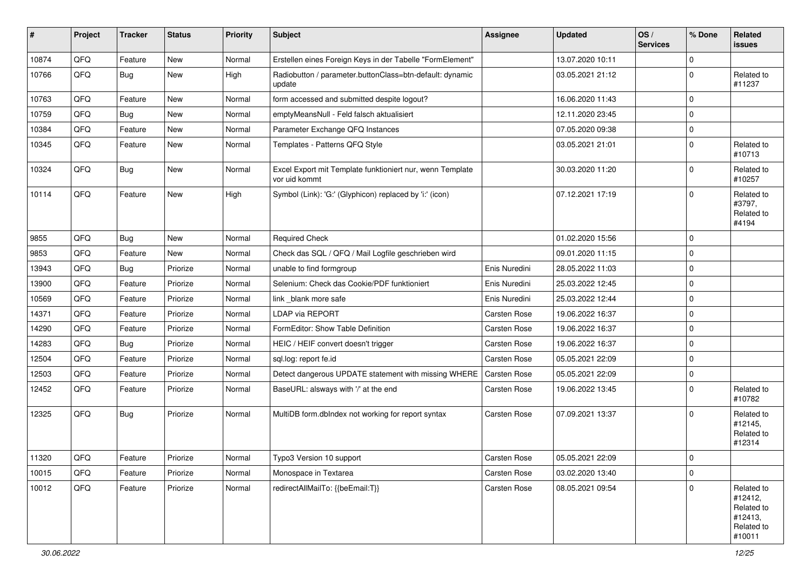| #     | Project        | <b>Tracker</b> | <b>Status</b> | <b>Priority</b> | <b>Subject</b>                                                             | Assignee            | <b>Updated</b>   | OS/<br><b>Services</b> | % Done      | Related<br>issues                                                      |
|-------|----------------|----------------|---------------|-----------------|----------------------------------------------------------------------------|---------------------|------------------|------------------------|-------------|------------------------------------------------------------------------|
| 10874 | QFQ            | Feature        | New           | Normal          | Erstellen eines Foreign Keys in der Tabelle "FormElement"                  |                     | 13.07.2020 10:11 |                        | $\mathbf 0$ |                                                                        |
| 10766 | QFQ            | <b>Bug</b>     | New           | High            | Radiobutton / parameter.buttonClass=btn-default: dynamic<br>update         |                     | 03.05.2021 21:12 |                        | $\mathbf 0$ | Related to<br>#11237                                                   |
| 10763 | QFQ            | Feature        | New           | Normal          | form accessed and submitted despite logout?                                |                     | 16.06.2020 11:43 |                        | $\mathbf 0$ |                                                                        |
| 10759 | QFQ            | <b>Bug</b>     | New           | Normal          | emptyMeansNull - Feld falsch aktualisiert                                  |                     | 12.11.2020 23:45 |                        | $\mathbf 0$ |                                                                        |
| 10384 | QFQ            | Feature        | New           | Normal          | Parameter Exchange QFQ Instances                                           |                     | 07.05.2020 09:38 |                        | $\pmb{0}$   |                                                                        |
| 10345 | QFQ            | Feature        | New           | Normal          | Templates - Patterns QFQ Style                                             |                     | 03.05.2021 21:01 |                        | $\mathbf 0$ | Related to<br>#10713                                                   |
| 10324 | QFQ            | <b>Bug</b>     | New           | Normal          | Excel Export mit Template funktioniert nur, wenn Template<br>vor uid kommt |                     | 30.03.2020 11:20 |                        | $\mathbf 0$ | Related to<br>#10257                                                   |
| 10114 | QFQ            | Feature        | New           | High            | Symbol (Link): 'G:' (Glyphicon) replaced by 'i:' (icon)                    |                     | 07.12.2021 17:19 |                        | $\mathbf 0$ | Related to<br>#3797,<br>Related to<br>#4194                            |
| 9855  | QFQ            | Bug            | New           | Normal          | <b>Required Check</b>                                                      |                     | 01.02.2020 15:56 |                        | $\mathbf 0$ |                                                                        |
| 9853  | QFQ            | Feature        | New           | Normal          | Check das SQL / QFQ / Mail Logfile geschrieben wird                        |                     | 09.01.2020 11:15 |                        | $\mathbf 0$ |                                                                        |
| 13943 | QFQ            | Bug            | Priorize      | Normal          | unable to find formgroup                                                   | Enis Nuredini       | 28.05.2022 11:03 |                        | $\mathbf 0$ |                                                                        |
| 13900 | QFQ            | Feature        | Priorize      | Normal          | Selenium: Check das Cookie/PDF funktioniert                                | Enis Nuredini       | 25.03.2022 12:45 |                        | $\mathbf 0$ |                                                                        |
| 10569 | QFQ            | Feature        | Priorize      | Normal          | link_blank more safe                                                       | Enis Nuredini       | 25.03.2022 12:44 |                        | $\mathbf 0$ |                                                                        |
| 14371 | QFQ            | Feature        | Priorize      | Normal          | LDAP via REPORT                                                            | Carsten Rose        | 19.06.2022 16:37 |                        | $\mathbf 0$ |                                                                        |
| 14290 | QFQ            | Feature        | Priorize      | Normal          | FormEditor: Show Table Definition                                          | Carsten Rose        | 19.06.2022 16:37 |                        | $\pmb{0}$   |                                                                        |
| 14283 | QFQ            | <b>Bug</b>     | Priorize      | Normal          | HEIC / HEIF convert doesn't trigger                                        | Carsten Rose        | 19.06.2022 16:37 |                        | $\mathbf 0$ |                                                                        |
| 12504 | QFQ            | Feature        | Priorize      | Normal          | sql.log: report fe.id                                                      | <b>Carsten Rose</b> | 05.05.2021 22:09 |                        | $\mathbf 0$ |                                                                        |
| 12503 | QFQ            | Feature        | Priorize      | Normal          | Detect dangerous UPDATE statement with missing WHERE                       | Carsten Rose        | 05.05.2021 22:09 |                        | $\mathbf 0$ |                                                                        |
| 12452 | QFQ            | Feature        | Priorize      | Normal          | BaseURL: alsways with '/' at the end                                       | Carsten Rose        | 19.06.2022 13:45 |                        | $\mathbf 0$ | Related to<br>#10782                                                   |
| 12325 | QFQ            | Bug            | Priorize      | Normal          | MultiDB form.dbIndex not working for report syntax                         | Carsten Rose        | 07.09.2021 13:37 |                        | $\mathbf 0$ | Related to<br>#12145,<br>Related to<br>#12314                          |
| 11320 | $\mathsf{QFQ}$ | Feature        | Priorize      | Normal          | Typo3 Version 10 support                                                   | Carsten Rose        | 05.05.2021 22:09 |                        | $\mathbf 0$ |                                                                        |
| 10015 | QFQ            | Feature        | Priorize      | Normal          | Monospace in Textarea                                                      | Carsten Rose        | 03.02.2020 13:40 |                        | $\mathbf 0$ |                                                                        |
| 10012 | QFQ            | Feature        | Priorize      | Normal          | redirectAllMailTo: {{beEmail:T}}                                           | Carsten Rose        | 08.05.2021 09:54 |                        | $\mathbf 0$ | Related to<br>#12412,<br>Related to<br>#12413,<br>Related to<br>#10011 |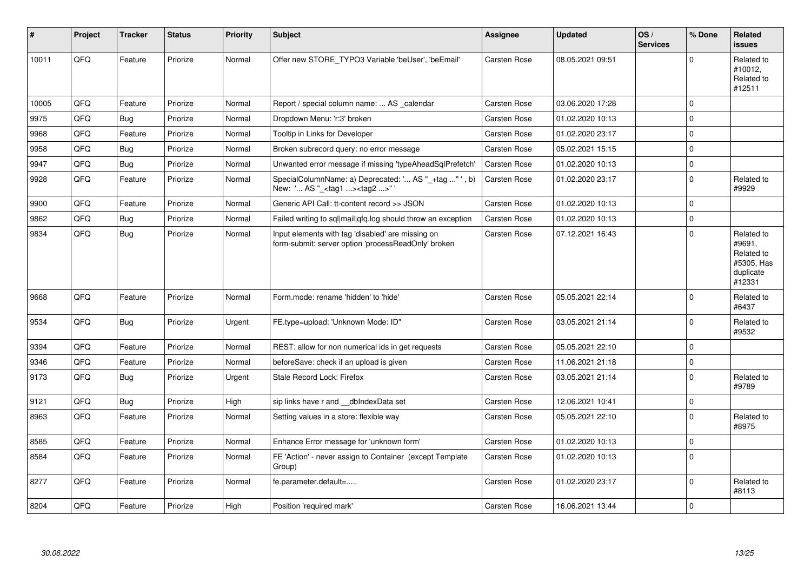| ∦     | <b>Project</b> | <b>Tracker</b> | <b>Status</b> | <b>Priority</b> | <b>Subject</b>                                                                                           | <b>Assignee</b>     | <b>Updated</b>   | OS/<br><b>Services</b> | % Done      | Related<br>issues                                                       |
|-------|----------------|----------------|---------------|-----------------|----------------------------------------------------------------------------------------------------------|---------------------|------------------|------------------------|-------------|-------------------------------------------------------------------------|
| 10011 | QFQ            | Feature        | Priorize      | Normal          | Offer new STORE TYPO3 Variable 'beUser', 'beEmail'                                                       | Carsten Rose        | 08.05.2021 09:51 |                        | $\Omega$    | Related to<br>#10012,<br>Related to<br>#12511                           |
| 10005 | QFQ            | Feature        | Priorize      | Normal          | Report / special column name:  AS _calendar                                                              | <b>Carsten Rose</b> | 03.06.2020 17:28 |                        | $\Omega$    |                                                                         |
| 9975  | QFQ            | Bug            | Priorize      | Normal          | Dropdown Menu: 'r:3' broken                                                                              | Carsten Rose        | 01.02.2020 10:13 |                        | $\mathbf 0$ |                                                                         |
| 9968  | QFQ            | Feature        | Priorize      | Normal          | Tooltip in Links for Developer                                                                           | Carsten Rose        | 01.02.2020 23:17 |                        | $\pmb{0}$   |                                                                         |
| 9958  | QFQ            | <b>Bug</b>     | Priorize      | Normal          | Broken subrecord query: no error message                                                                 | Carsten Rose        | 05.02.2021 15:15 |                        | $\pmb{0}$   |                                                                         |
| 9947  | QFQ            | <b>Bug</b>     | Priorize      | Normal          | Unwanted error message if missing 'typeAheadSqlPrefetch'                                                 | Carsten Rose        | 01.02.2020 10:13 |                        | $\mathbf 0$ |                                                                         |
| 9928  | QFQ            | Feature        | Priorize      | Normal          | SpecialColumnName: a) Deprecated: ' AS "_+tag "', b)<br>New: ' AS "_ <tag1><tag2>"</tag2></tag1>         | Carsten Rose        | 01.02.2020 23:17 |                        | $\mathbf 0$ | Related to<br>#9929                                                     |
| 9900  | QFQ            | Feature        | Priorize      | Normal          | Generic API Call: tt-content record >> JSON                                                              | Carsten Rose        | 01.02.2020 10:13 |                        | $\mathbf 0$ |                                                                         |
| 9862  | QFQ            | <b>Bug</b>     | Priorize      | Normal          | Failed writing to sql mail qfq.log should throw an exception                                             | Carsten Rose        | 01.02.2020 10:13 |                        | $\mathbf 0$ |                                                                         |
| 9834  | QFQ            | Bug            | Priorize      | Normal          | Input elements with tag 'disabled' are missing on<br>form-submit: server option 'processReadOnly' broken | Carsten Rose        | 07.12.2021 16:43 |                        | $\mathbf 0$ | Related to<br>#9691,<br>Related to<br>#5305, Has<br>duplicate<br>#12331 |
| 9668  | QFQ            | Feature        | Priorize      | Normal          | Form.mode: rename 'hidden' to 'hide'                                                                     | Carsten Rose        | 05.05.2021 22:14 |                        | $\mathbf 0$ | Related to<br>#6437                                                     |
| 9534  | QFQ            | <b>Bug</b>     | Priorize      | Urgent          | FE.type=upload: 'Unknown Mode: ID"                                                                       | Carsten Rose        | 03.05.2021 21:14 |                        | $\mathbf 0$ | Related to<br>#9532                                                     |
| 9394  | QFQ            | Feature        | Priorize      | Normal          | REST: allow for non numerical ids in get requests                                                        | Carsten Rose        | 05.05.2021 22:10 |                        | 0           |                                                                         |
| 9346  | QFQ            | Feature        | Priorize      | Normal          | beforeSave: check if an upload is given                                                                  | Carsten Rose        | 11.06.2021 21:18 |                        | $\pmb{0}$   |                                                                         |
| 9173  | QFQ            | Bug            | Priorize      | Urgent          | Stale Record Lock: Firefox                                                                               | Carsten Rose        | 03.05.2021 21:14 |                        | $\Omega$    | Related to<br>#9789                                                     |
| 9121  | QFQ            | <b>Bug</b>     | Priorize      | High            | sip links have r and __dbIndexData set                                                                   | Carsten Rose        | 12.06.2021 10:41 |                        | 0           |                                                                         |
| 8963  | QFQ            | Feature        | Priorize      | Normal          | Setting values in a store: flexible way                                                                  | Carsten Rose        | 05.05.2021 22:10 |                        | $\mathbf 0$ | Related to<br>#8975                                                     |
| 8585  | QFQ            | Feature        | Priorize      | Normal          | Enhance Error message for 'unknown form'                                                                 | Carsten Rose        | 01.02.2020 10:13 |                        | $\pmb{0}$   |                                                                         |
| 8584  | QFQ            | Feature        | Priorize      | Normal          | FE 'Action' - never assign to Container (except Template<br>Group)                                       | <b>Carsten Rose</b> | 01.02.2020 10:13 |                        | $\mathbf 0$ |                                                                         |
| 8277  | QFQ            | Feature        | Priorize      | Normal          | fe.parameter.default=                                                                                    | Carsten Rose        | 01.02.2020 23:17 |                        | $\mathbf 0$ | Related to<br>#8113                                                     |
| 8204  | QFQ            | Feature        | Priorize      | High            | Position 'required mark'                                                                                 | <b>Carsten Rose</b> | 16.06.2021 13:44 |                        | $\mathbf 0$ |                                                                         |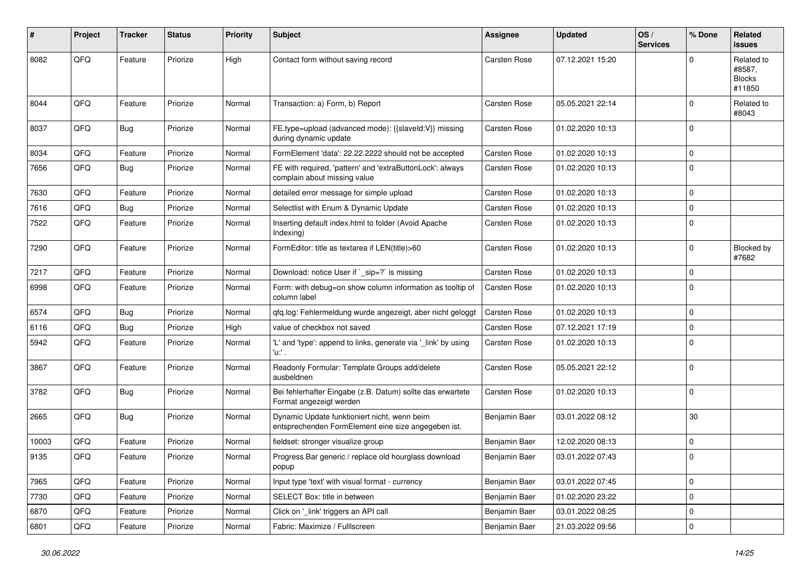| #     | Project | <b>Tracker</b> | <b>Status</b> | <b>Priority</b> | <b>Subject</b>                                                                                      | <b>Assignee</b>     | <b>Updated</b>   | OS/<br><b>Services</b> | % Done              | Related<br>issues                               |
|-------|---------|----------------|---------------|-----------------|-----------------------------------------------------------------------------------------------------|---------------------|------------------|------------------------|---------------------|-------------------------------------------------|
| 8082  | QFQ     | Feature        | Priorize      | High            | Contact form without saving record                                                                  | Carsten Rose        | 07.12.2021 15:20 |                        | $\Omega$            | Related to<br>#8587,<br><b>Blocks</b><br>#11850 |
| 8044  | QFQ     | Feature        | Priorize      | Normal          | Transaction: a) Form, b) Report                                                                     | Carsten Rose        | 05.05.2021 22:14 |                        | $\mathbf 0$         | Related to<br>#8043                             |
| 8037  | QFQ     | <b>Bug</b>     | Priorize      | Normal          | FE.type=upload (advanced mode): {{slaveId:V}} missing<br>during dynamic update                      | Carsten Rose        | 01.02.2020 10:13 |                        | $\mathbf 0$         |                                                 |
| 8034  | QFQ     | Feature        | Priorize      | Normal          | FormElement 'data': 22.22.2222 should not be accepted                                               | <b>Carsten Rose</b> | 01.02.2020 10:13 |                        | $\mathbf 0$         |                                                 |
| 7656  | QFQ     | <b>Bug</b>     | Priorize      | Normal          | FE with required, 'pattern' and 'extraButtonLock': always<br>complain about missing value           | Carsten Rose        | 01.02.2020 10:13 |                        | $\Omega$            |                                                 |
| 7630  | QFQ     | Feature        | Priorize      | Normal          | detailed error message for simple upload                                                            | Carsten Rose        | 01.02.2020 10:13 |                        | $\mathbf 0$         |                                                 |
| 7616  | QFQ     | Bug            | Priorize      | Normal          | Selectlist with Enum & Dynamic Update                                                               | Carsten Rose        | 01.02.2020 10:13 |                        | $\mathbf 0$         |                                                 |
| 7522  | QFQ     | Feature        | Priorize      | Normal          | Inserting default index.html to folder (Avoid Apache<br>Indexing)                                   | Carsten Rose        | 01.02.2020 10:13 |                        | $\mathbf 0$         |                                                 |
| 7290  | QFQ     | Feature        | Priorize      | Normal          | FormEditor: title as textarea if LEN(title)>60                                                      | Carsten Rose        | 01.02.2020 10:13 |                        | 0                   | Blocked by<br>#7682                             |
| 7217  | QFQ     | Feature        | Priorize      | Normal          | Download: notice User if `_sip=?` is missing                                                        | <b>Carsten Rose</b> | 01.02.2020 10:13 |                        | 0                   |                                                 |
| 6998  | QFQ     | Feature        | Priorize      | Normal          | Form: with debug=on show column information as tooltip of<br>column label                           | Carsten Rose        | 01.02.2020 10:13 |                        | $\mathbf 0$         |                                                 |
| 6574  | QFQ     | Bug            | Priorize      | Normal          | qfq.log: Fehlermeldung wurde angezeigt, aber nicht geloggt                                          | Carsten Rose        | 01.02.2020 10:13 |                        | $\pmb{0}$           |                                                 |
| 6116  | QFQ     | <b>Bug</b>     | Priorize      | High            | value of checkbox not saved                                                                         | Carsten Rose        | 07.12.2021 17:19 |                        | $\mathbf 0$         |                                                 |
| 5942  | QFQ     | Feature        | Priorize      | Normal          | 'L' and 'type': append to links, generate via '_link' by using<br>'u:' .                            | <b>Carsten Rose</b> | 01.02.2020 10:13 |                        | $\Omega$            |                                                 |
| 3867  | QFQ     | Feature        | Priorize      | Normal          | Readonly Formular: Template Groups add/delete<br>ausbeldnen                                         | Carsten Rose        | 05.05.2021 22:12 |                        | $\mathbf 0$         |                                                 |
| 3782  | QFQ     | <b>Bug</b>     | Priorize      | Normal          | Bei fehlerhafter Eingabe (z.B. Datum) sollte das erwartete<br>Format angezeigt werden               | Carsten Rose        | 01.02.2020 10:13 |                        | $\mathbf 0$         |                                                 |
| 2665  | QFQ     | <b>Bug</b>     | Priorize      | Normal          | Dynamic Update funktioniert nicht, wenn beim<br>entsprechenden FormElement eine size angegeben ist. | Benjamin Baer       | 03.01.2022 08:12 |                        | 30                  |                                                 |
| 10003 | QFQ     | Feature        | Priorize      | Normal          | fieldset: stronger visualize group                                                                  | Benjamin Baer       | 12.02.2020 08:13 |                        | $\mathbf 0$         |                                                 |
| 9135  | QFQ     | Feature        | Priorize      | Normal          | Progress Bar generic / replace old hourglass download<br>popup                                      | Benjamin Baer       | 03.01.2022 07:43 |                        | $\mathbf 0$         |                                                 |
| 7965  | QFQ     | Feature        | Priorize      | Normal          | Input type 'text' with visual format - currency                                                     | Benjamin Baer       | 03.01.2022 07:45 |                        | $\mathsf{O}\xspace$ |                                                 |
| 7730  | QFQ     | Feature        | Priorize      | Normal          | SELECT Box: title in between                                                                        | Benjamin Baer       | 01.02.2020 23:22 |                        | $\pmb{0}$           |                                                 |
| 6870  | QFQ     | Feature        | Priorize      | Normal          | Click on '_link' triggers an API call                                                               | Benjamin Baer       | 03.01.2022 08:25 |                        | $\pmb{0}$           |                                                 |
| 6801  | QFQ     | Feature        | Priorize      | Normal          | Fabric: Maximize / FullIscreen                                                                      | Benjamin Baer       | 21.03.2022 09:56 |                        | $\pmb{0}$           |                                                 |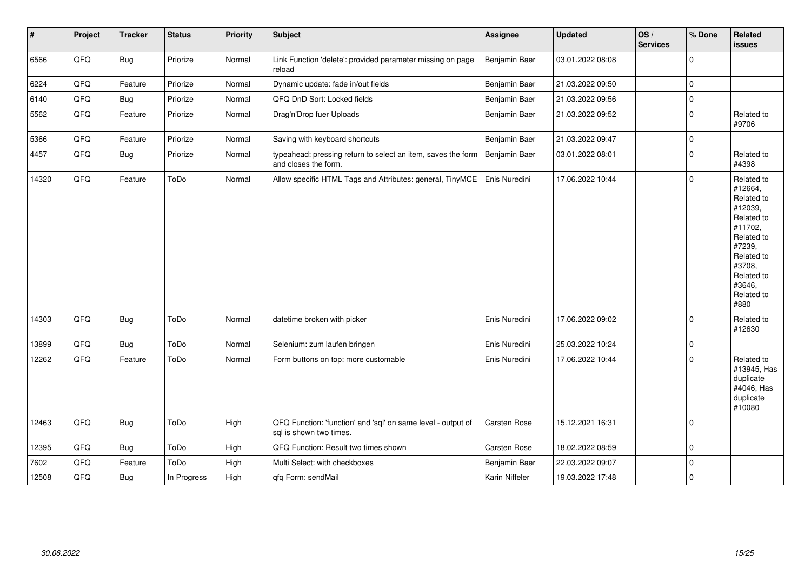| $\vert$ # | Project | <b>Tracker</b> | <b>Status</b> | <b>Priority</b> | <b>Subject</b>                                                                          | Assignee       | <b>Updated</b>   | OS/<br><b>Services</b> | % Done      | Related<br>issues                                                                                                                                                     |
|-----------|---------|----------------|---------------|-----------------|-----------------------------------------------------------------------------------------|----------------|------------------|------------------------|-------------|-----------------------------------------------------------------------------------------------------------------------------------------------------------------------|
| 6566      | QFQ     | Bug            | Priorize      | Normal          | Link Function 'delete': provided parameter missing on page<br>reload                    | Benjamin Baer  | 03.01.2022 08:08 |                        | $\mathbf 0$ |                                                                                                                                                                       |
| 6224      | QFQ     | Feature        | Priorize      | Normal          | Dynamic update: fade in/out fields                                                      | Benjamin Baer  | 21.03.2022 09:50 |                        | $\mathbf 0$ |                                                                                                                                                                       |
| 6140      | QFQ     | <b>Bug</b>     | Priorize      | Normal          | QFQ DnD Sort: Locked fields                                                             | Benjamin Baer  | 21.03.2022 09:56 |                        | $\pmb{0}$   |                                                                                                                                                                       |
| 5562      | QFQ     | Feature        | Priorize      | Normal          | Drag'n'Drop fuer Uploads                                                                | Benjamin Baer  | 21.03.2022 09:52 |                        | $\pmb{0}$   | Related to<br>#9706                                                                                                                                                   |
| 5366      | QFQ     | Feature        | Priorize      | Normal          | Saving with keyboard shortcuts                                                          | Benjamin Baer  | 21.03.2022 09:47 |                        | $\pmb{0}$   |                                                                                                                                                                       |
| 4457      | QFQ     | Bug            | Priorize      | Normal          | typeahead: pressing return to select an item, saves the form<br>and closes the form.    | Benjamin Baer  | 03.01.2022 08:01 |                        | $\pmb{0}$   | Related to<br>#4398                                                                                                                                                   |
| 14320     | QFQ     | Feature        | ToDo          | Normal          | Allow specific HTML Tags and Attributes: general, TinyMCE                               | Enis Nuredini  | 17.06.2022 10:44 |                        | $\pmb{0}$   | Related to<br>#12664,<br>Related to<br>#12039,<br>Related to<br>#11702,<br>Related to<br>#7239,<br>Related to<br>#3708,<br>Related to<br>#3646,<br>Related to<br>#880 |
| 14303     | QFQ     | <b>Bug</b>     | ToDo          | Normal          | datetime broken with picker                                                             | Enis Nuredini  | 17.06.2022 09:02 |                        | $\mathbf 0$ | Related to<br>#12630                                                                                                                                                  |
| 13899     | QFQ     | <b>Bug</b>     | ToDo          | Normal          | Selenium: zum laufen bringen                                                            | Enis Nuredini  | 25.03.2022 10:24 |                        | $\pmb{0}$   |                                                                                                                                                                       |
| 12262     | QFQ     | Feature        | ToDo          | Normal          | Form buttons on top: more customable                                                    | Enis Nuredini  | 17.06.2022 10:44 |                        | $\pmb{0}$   | Related to<br>#13945, Has<br>duplicate<br>#4046, Has<br>duplicate<br>#10080                                                                                           |
| 12463     | QFQ     | <b>Bug</b>     | ToDo          | High            | QFQ Function: 'function' and 'sql' on same level - output of<br>sal is shown two times. | Carsten Rose   | 15.12.2021 16:31 |                        | $\pmb{0}$   |                                                                                                                                                                       |
| 12395     | QFQ     | <b>Bug</b>     | ToDo          | High            | QFQ Function: Result two times shown                                                    | Carsten Rose   | 18.02.2022 08:59 |                        | $\pmb{0}$   |                                                                                                                                                                       |
| 7602      | QFQ     | Feature        | ToDo          | High            | Multi Select: with checkboxes                                                           | Benjamin Baer  | 22.03.2022 09:07 |                        | $\pmb{0}$   |                                                                                                                                                                       |
| 12508     | QFQ     | <b>Bug</b>     | In Progress   | High            | qfq Form: sendMail                                                                      | Karin Niffeler | 19.03.2022 17:48 |                        | $\pmb{0}$   |                                                                                                                                                                       |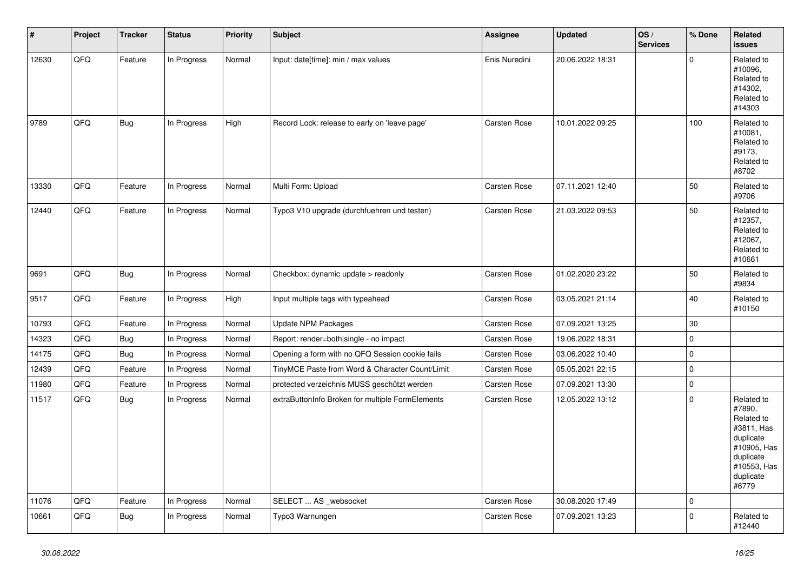| #     | Project | <b>Tracker</b> | <b>Status</b> | <b>Priority</b> | <b>Subject</b>                                   | <b>Assignee</b> | <b>Updated</b>   | OS/<br><b>Services</b> | % Done      | Related<br><b>issues</b>                                                                                                       |
|-------|---------|----------------|---------------|-----------------|--------------------------------------------------|-----------------|------------------|------------------------|-------------|--------------------------------------------------------------------------------------------------------------------------------|
| 12630 | QFQ     | Feature        | In Progress   | Normal          | Input: date[time]: min / max values              | Enis Nuredini   | 20.06.2022 18:31 |                        | $\mathbf 0$ | Related to<br>#10096,<br>Related to<br>#14302,<br>Related to<br>#14303                                                         |
| 9789  | QFQ     | <b>Bug</b>     | In Progress   | High            | Record Lock: release to early on 'leave page'    | Carsten Rose    | 10.01.2022 09:25 |                        | 100         | Related to<br>#10081,<br>Related to<br>#9173.<br>Related to<br>#8702                                                           |
| 13330 | QFQ     | Feature        | In Progress   | Normal          | Multi Form: Upload                               | Carsten Rose    | 07.11.2021 12:40 |                        | 50          | Related to<br>#9706                                                                                                            |
| 12440 | QFQ     | Feature        | In Progress   | Normal          | Typo3 V10 upgrade (durchfuehren und testen)      | Carsten Rose    | 21.03.2022 09:53 |                        | 50          | Related to<br>#12357,<br>Related to<br>#12067,<br>Related to<br>#10661                                                         |
| 9691  | QFQ     | <b>Bug</b>     | In Progress   | Normal          | Checkbox: dynamic update > readonly              | Carsten Rose    | 01.02.2020 23:22 |                        | 50          | Related to<br>#9834                                                                                                            |
| 9517  | QFQ     | Feature        | In Progress   | High            | Input multiple tags with typeahead               | Carsten Rose    | 03.05.2021 21:14 |                        | 40          | Related to<br>#10150                                                                                                           |
| 10793 | QFQ     | Feature        | In Progress   | Normal          | <b>Update NPM Packages</b>                       | Carsten Rose    | 07.09.2021 13:25 |                        | 30          |                                                                                                                                |
| 14323 | QFQ     | <b>Bug</b>     | In Progress   | Normal          | Report: render=both single - no impact           | Carsten Rose    | 19.06.2022 18:31 |                        | $\mathbf 0$ |                                                                                                                                |
| 14175 | QFQ     | <b>Bug</b>     | In Progress   | Normal          | Opening a form with no QFQ Session cookie fails  | Carsten Rose    | 03.06.2022 10:40 |                        | $\mathbf 0$ |                                                                                                                                |
| 12439 | QFQ     | Feature        | In Progress   | Normal          | TinyMCE Paste from Word & Character Count/Limit  | Carsten Rose    | 05.05.2021 22:15 |                        | $\mathbf 0$ |                                                                                                                                |
| 11980 | QFQ     | Feature        | In Progress   | Normal          | protected verzeichnis MUSS geschützt werden      | Carsten Rose    | 07.09.2021 13:30 |                        | $\pmb{0}$   |                                                                                                                                |
| 11517 | QFQ     | <b>Bug</b>     | In Progress   | Normal          | extraButtonInfo Broken for multiple FormElements | Carsten Rose    | 12.05.2022 13:12 |                        | $\Omega$    | Related to<br>#7890,<br>Related to<br>#3811, Has<br>duplicate<br>#10905, Has<br>duplicate<br>#10553, Has<br>duplicate<br>#6779 |
| 11076 | QFQ     | Feature        | In Progress   | Normal          | SELECT  AS _websocket                            | Carsten Rose    | 30.08.2020 17:49 |                        | $\mathbf 0$ |                                                                                                                                |
| 10661 | QFQ     | <b>Bug</b>     | In Progress   | Normal          | Typo3 Warnungen                                  | Carsten Rose    | 07.09.2021 13:23 |                        | $\mathbf 0$ | Related to<br>#12440                                                                                                           |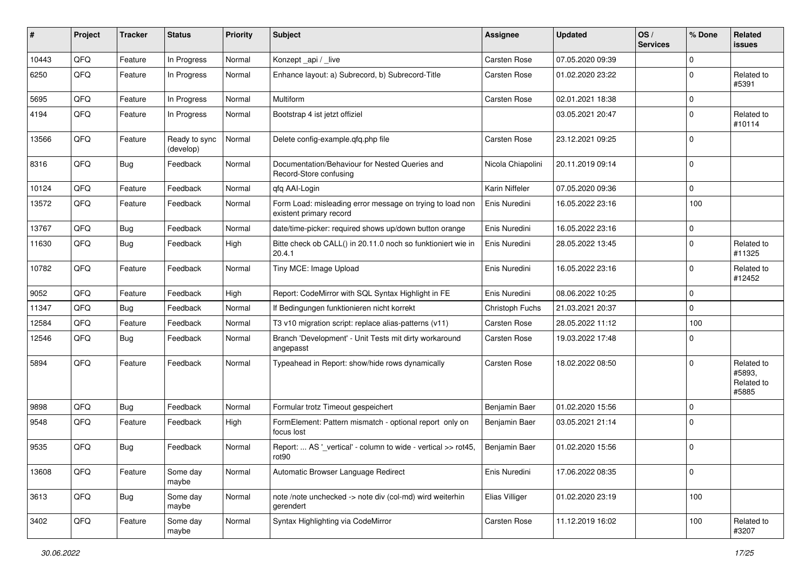| #     | Project | <b>Tracker</b> | <b>Status</b>              | <b>Priority</b> | <b>Subject</b>                                                                       | <b>Assignee</b>     | <b>Updated</b>   | OS/<br><b>Services</b> | % Done      | Related<br>issues                           |
|-------|---------|----------------|----------------------------|-----------------|--------------------------------------------------------------------------------------|---------------------|------------------|------------------------|-------------|---------------------------------------------|
| 10443 | QFQ     | Feature        | In Progress                | Normal          | Konzept_api / _live                                                                  | <b>Carsten Rose</b> | 07.05.2020 09:39 |                        | 0           |                                             |
| 6250  | QFQ     | Feature        | In Progress                | Normal          | Enhance layout: a) Subrecord, b) Subrecord-Title                                     | Carsten Rose        | 01.02.2020 23:22 |                        | $\mathbf 0$ | Related to<br>#5391                         |
| 5695  | QFQ     | Feature        | In Progress                | Normal          | Multiform                                                                            | Carsten Rose        | 02.01.2021 18:38 |                        | 0           |                                             |
| 4194  | QFQ     | Feature        | In Progress                | Normal          | Bootstrap 4 ist jetzt offiziel                                                       |                     | 03.05.2021 20:47 |                        | $\mathbf 0$ | Related to<br>#10114                        |
| 13566 | QFQ     | Feature        | Ready to sync<br>(develop) | Normal          | Delete config-example.qfq.php file                                                   | Carsten Rose        | 23.12.2021 09:25 |                        | $\mathbf 0$ |                                             |
| 8316  | QFQ     | <b>Bug</b>     | Feedback                   | Normal          | Documentation/Behaviour for Nested Queries and<br>Record-Store confusing             | Nicola Chiapolini   | 20.11.2019 09:14 |                        | $\mathbf 0$ |                                             |
| 10124 | QFQ     | Feature        | Feedback                   | Normal          | qfq AAI-Login                                                                        | Karin Niffeler      | 07.05.2020 09:36 |                        | 0           |                                             |
| 13572 | QFQ     | Feature        | Feedback                   | Normal          | Form Load: misleading error message on trying to load non<br>existent primary record | Enis Nuredini       | 16.05.2022 23:16 |                        | 100         |                                             |
| 13767 | QFQ     | <b>Bug</b>     | Feedback                   | Normal          | date/time-picker: required shows up/down button orange                               | Enis Nuredini       | 16.05.2022 23:16 |                        | $\pmb{0}$   |                                             |
| 11630 | QFQ     | Bug            | Feedback                   | High            | Bitte check ob CALL() in 20.11.0 noch so funktioniert wie in<br>20.4.1               | Enis Nuredini       | 28.05.2022 13:45 |                        | $\mathbf 0$ | Related to<br>#11325                        |
| 10782 | QFQ     | Feature        | Feedback                   | Normal          | Tiny MCE: Image Upload                                                               | Enis Nuredini       | 16.05.2022 23:16 |                        | $\mathbf 0$ | Related to<br>#12452                        |
| 9052  | QFQ     | Feature        | Feedback                   | High            | Report: CodeMirror with SQL Syntax Highlight in FE                                   | Enis Nuredini       | 08.06.2022 10:25 |                        | 0           |                                             |
| 11347 | QFQ     | Bug            | Feedback                   | Normal          | If Bedingungen funktionieren nicht korrekt                                           | Christoph Fuchs     | 21.03.2021 20:37 |                        | 0           |                                             |
| 12584 | QFQ     | Feature        | Feedback                   | Normal          | T3 v10 migration script: replace alias-patterns (v11)                                | Carsten Rose        | 28.05.2022 11:12 |                        | 100         |                                             |
| 12546 | QFQ     | <b>Bug</b>     | Feedback                   | Normal          | Branch 'Development' - Unit Tests mit dirty workaround<br>angepasst                  | Carsten Rose        | 19.03.2022 17:48 |                        | $\mathbf 0$ |                                             |
| 5894  | QFQ     | Feature        | Feedback                   | Normal          | Typeahead in Report: show/hide rows dynamically                                      | <b>Carsten Rose</b> | 18.02.2022 08:50 |                        | $\mathbf 0$ | Related to<br>#5893,<br>Related to<br>#5885 |
| 9898  | QFQ     | <b>Bug</b>     | Feedback                   | Normal          | Formular trotz Timeout gespeichert                                                   | Benjamin Baer       | 01.02.2020 15:56 |                        | $\mathbf 0$ |                                             |
| 9548  | QFQ     | Feature        | Feedback                   | High            | FormElement: Pattern mismatch - optional report only on<br>focus lost                | Benjamin Baer       | 03.05.2021 21:14 |                        | $\mathbf 0$ |                                             |
| 9535  | QFQ     | <b>Bug</b>     | Feedback                   | Normal          | Report:  AS '_vertical' - column to wide - vertical >> rot45,<br>rot <sub>90</sub>   | Benjamin Baer       | 01.02.2020 15:56 |                        | $\mathbf 0$ |                                             |
| 13608 | QFQ     | Feature        | Some day<br>maybe          | Normal          | Automatic Browser Language Redirect                                                  | Enis Nuredini       | 17.06.2022 08:35 |                        | $\mathbf 0$ |                                             |
| 3613  | QFQ     | <b>Bug</b>     | Some day<br>maybe          | Normal          | note /note unchecked -> note div (col-md) wird weiterhin<br>gerendert                | Elias Villiger      | 01.02.2020 23:19 |                        | 100         |                                             |
| 3402  | QFQ     | Feature        | Some day<br>maybe          | Normal          | Syntax Highlighting via CodeMirror                                                   | Carsten Rose        | 11.12.2019 16:02 |                        | 100         | Related to<br>#3207                         |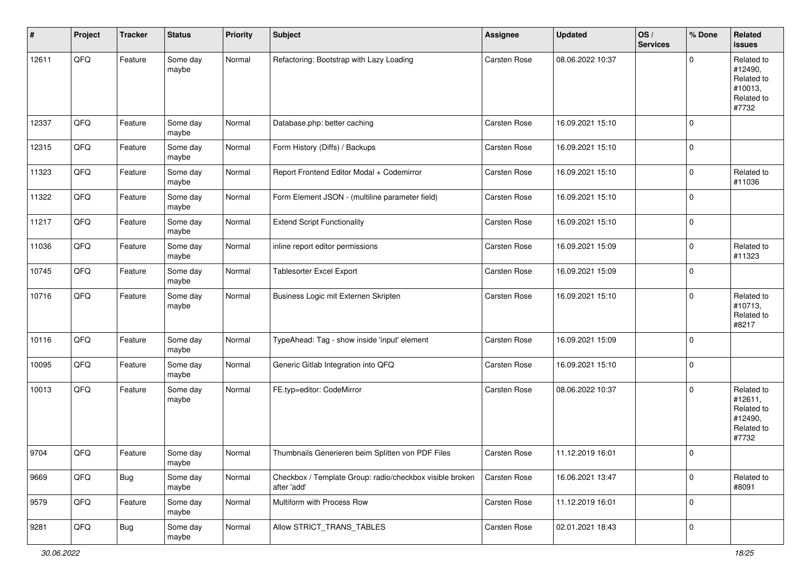| #     | Project | <b>Tracker</b> | <b>Status</b>     | <b>Priority</b> | <b>Subject</b>                                                          | Assignee            | <b>Updated</b>   | OS/<br><b>Services</b> | % Done      | Related<br>issues                                                     |
|-------|---------|----------------|-------------------|-----------------|-------------------------------------------------------------------------|---------------------|------------------|------------------------|-------------|-----------------------------------------------------------------------|
| 12611 | QFQ     | Feature        | Some day<br>maybe | Normal          | Refactoring: Bootstrap with Lazy Loading                                | Carsten Rose        | 08.06.2022 10:37 |                        | $\Omega$    | Related to<br>#12490,<br>Related to<br>#10013,<br>Related to<br>#7732 |
| 12337 | QFQ     | Feature        | Some day<br>maybe | Normal          | Database.php: better caching                                            | <b>Carsten Rose</b> | 16.09.2021 15:10 |                        | $\mathbf 0$ |                                                                       |
| 12315 | QFQ     | Feature        | Some day<br>maybe | Normal          | Form History (Diffs) / Backups                                          | Carsten Rose        | 16.09.2021 15:10 |                        | $\mathbf 0$ |                                                                       |
| 11323 | QFQ     | Feature        | Some day<br>maybe | Normal          | Report Frontend Editor Modal + Codemirror                               | Carsten Rose        | 16.09.2021 15:10 |                        | $\mathbf 0$ | Related to<br>#11036                                                  |
| 11322 | QFQ     | Feature        | Some day<br>maybe | Normal          | Form Element JSON - (multiline parameter field)                         | Carsten Rose        | 16.09.2021 15:10 |                        | $\mathbf 0$ |                                                                       |
| 11217 | QFQ     | Feature        | Some day<br>maybe | Normal          | <b>Extend Script Functionality</b>                                      | Carsten Rose        | 16.09.2021 15:10 |                        | $\mathbf 0$ |                                                                       |
| 11036 | QFQ     | Feature        | Some day<br>maybe | Normal          | inline report editor permissions                                        | <b>Carsten Rose</b> | 16.09.2021 15:09 |                        | $\mathbf 0$ | Related to<br>#11323                                                  |
| 10745 | QFQ     | Feature        | Some day<br>maybe | Normal          | <b>Tablesorter Excel Export</b>                                         | Carsten Rose        | 16.09.2021 15:09 |                        | $\mathbf 0$ |                                                                       |
| 10716 | QFQ     | Feature        | Some day<br>maybe | Normal          | Business Logic mit Externen Skripten                                    | <b>Carsten Rose</b> | 16.09.2021 15:10 |                        | $\Omega$    | Related to<br>#10713,<br>Related to<br>#8217                          |
| 10116 | QFQ     | Feature        | Some day<br>maybe | Normal          | TypeAhead: Tag - show inside 'input' element                            | Carsten Rose        | 16.09.2021 15:09 |                        | $\mathbf 0$ |                                                                       |
| 10095 | QFQ     | Feature        | Some day<br>maybe | Normal          | Generic Gitlab Integration into QFQ                                     | Carsten Rose        | 16.09.2021 15:10 |                        | $\mathbf 0$ |                                                                       |
| 10013 | QFQ     | Feature        | Some day<br>maybe | Normal          | FE.typ=editor: CodeMirror                                               | Carsten Rose        | 08.06.2022 10:37 |                        | $\mathbf 0$ | Related to<br>#12611,<br>Related to<br>#12490,<br>Related to<br>#7732 |
| 9704  | QFQ     | Feature        | Some day<br>maybe | Normal          | Thumbnails Generieren beim Splitten von PDF Files                       | <b>Carsten Rose</b> | 11.12.2019 16:01 |                        | $\mathbf 0$ |                                                                       |
| 9669  | QFQ     | <b>Bug</b>     | Some day<br>maybe | Normal          | Checkbox / Template Group: radio/checkbox visible broken<br>after 'add' | Carsten Rose        | 16.06.2021 13:47 |                        | $\mathbf 0$ | Related to<br>#8091                                                   |
| 9579  | QFQ     | Feature        | Some day<br>maybe | Normal          | Multiform with Process Row                                              | Carsten Rose        | 11.12.2019 16:01 |                        | $\mathbf 0$ |                                                                       |
| 9281  | QFQ     | <b>Bug</b>     | Some day<br>maybe | Normal          | Allow STRICT TRANS TABLES                                               | Carsten Rose        | 02.01.2021 18:43 |                        | $\mathbf 0$ |                                                                       |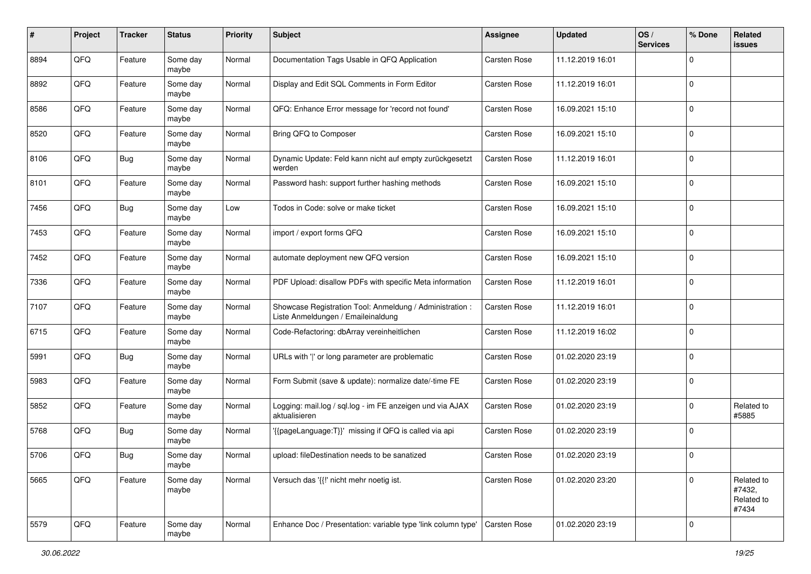| #    | Project | <b>Tracker</b> | <b>Status</b>     | <b>Priority</b> | <b>Subject</b>                                                                                 | <b>Assignee</b>     | <b>Updated</b>   | OS/<br><b>Services</b> | % Done      | Related<br>issues                           |
|------|---------|----------------|-------------------|-----------------|------------------------------------------------------------------------------------------------|---------------------|------------------|------------------------|-------------|---------------------------------------------|
| 8894 | QFQ     | Feature        | Some day<br>maybe | Normal          | Documentation Tags Usable in QFQ Application                                                   | Carsten Rose        | 11.12.2019 16:01 |                        | $\Omega$    |                                             |
| 8892 | QFQ     | Feature        | Some day<br>maybe | Normal          | Display and Edit SQL Comments in Form Editor                                                   | <b>Carsten Rose</b> | 11.12.2019 16:01 |                        | $\mathbf 0$ |                                             |
| 8586 | QFQ     | Feature        | Some day<br>maybe | Normal          | QFQ: Enhance Error message for 'record not found'                                              | Carsten Rose        | 16.09.2021 15:10 |                        | $\Omega$    |                                             |
| 8520 | QFQ     | Feature        | Some day<br>maybe | Normal          | Bring QFQ to Composer                                                                          | <b>Carsten Rose</b> | 16.09.2021 15:10 |                        | $\mathbf 0$ |                                             |
| 8106 | QFQ     | <b>Bug</b>     | Some day<br>maybe | Normal          | Dynamic Update: Feld kann nicht auf empty zurückgesetzt<br>werden                              | <b>Carsten Rose</b> | 11.12.2019 16:01 |                        | $\Omega$    |                                             |
| 8101 | QFQ     | Feature        | Some day<br>maybe | Normal          | Password hash: support further hashing methods                                                 | <b>Carsten Rose</b> | 16.09.2021 15:10 |                        | $\Omega$    |                                             |
| 7456 | QFQ     | <b>Bug</b>     | Some day<br>maybe | Low             | Todos in Code: solve or make ticket                                                            | Carsten Rose        | 16.09.2021 15:10 |                        | $\Omega$    |                                             |
| 7453 | QFQ     | Feature        | Some day<br>maybe | Normal          | import / export forms QFQ                                                                      | Carsten Rose        | 16.09.2021 15:10 |                        | $\Omega$    |                                             |
| 7452 | QFQ     | Feature        | Some day<br>maybe | Normal          | automate deployment new QFQ version                                                            | <b>Carsten Rose</b> | 16.09.2021 15:10 |                        | $\mathbf 0$ |                                             |
| 7336 | QFQ     | Feature        | Some day<br>maybe | Normal          | PDF Upload: disallow PDFs with specific Meta information                                       | Carsten Rose        | 11.12.2019 16:01 |                        | $\Omega$    |                                             |
| 7107 | QFQ     | Feature        | Some day<br>maybe | Normal          | Showcase Registration Tool: Anmeldung / Administration :<br>Liste Anmeldungen / Emaileinaldung | <b>Carsten Rose</b> | 11.12.2019 16:01 |                        | $\mathbf 0$ |                                             |
| 6715 | QFQ     | Feature        | Some day<br>maybe | Normal          | Code-Refactoring: dbArray vereinheitlichen                                                     | <b>Carsten Rose</b> | 11.12.2019 16:02 |                        | $\Omega$    |                                             |
| 5991 | QFQ     | <b>Bug</b>     | Some day<br>maybe | Normal          | URLs with ' ' or long parameter are problematic                                                | <b>Carsten Rose</b> | 01.02.2020 23:19 |                        | $\Omega$    |                                             |
| 5983 | QFQ     | Feature        | Some day<br>maybe | Normal          | Form Submit (save & update): normalize date/-time FE                                           | Carsten Rose        | 01.02.2020 23:19 |                        | $\Omega$    |                                             |
| 5852 | QFQ     | Feature        | Some day<br>maybe | Normal          | Logging: mail.log / sql.log - im FE anzeigen und via AJAX<br>aktualisieren                     | <b>Carsten Rose</b> | 01.02.2020 23:19 |                        | $\Omega$    | Related to<br>#5885                         |
| 5768 | QFQ     | <b>Bug</b>     | Some day<br>maybe | Normal          | '{{pageLanguage:T}}' missing if QFQ is called via api                                          | Carsten Rose        | 01.02.2020 23:19 |                        | $\Omega$    |                                             |
| 5706 | QFQ     | <b>Bug</b>     | Some day<br>maybe | Normal          | upload: fileDestination needs to be sanatized                                                  | <b>Carsten Rose</b> | 01.02.2020 23:19 |                        | $\Omega$    |                                             |
| 5665 | QFQ     | Feature        | Some day<br>maybe | Normal          | Versuch das '{{!' nicht mehr noetig ist.                                                       | Carsten Rose        | 01.02.2020 23:20 |                        | $\Omega$    | Related to<br>#7432,<br>Related to<br>#7434 |
| 5579 | QFQ     | Feature        | Some day<br>maybe | Normal          | Enhance Doc / Presentation: variable type 'link column type'                                   | Carsten Rose        | 01.02.2020 23:19 |                        | $\mathbf 0$ |                                             |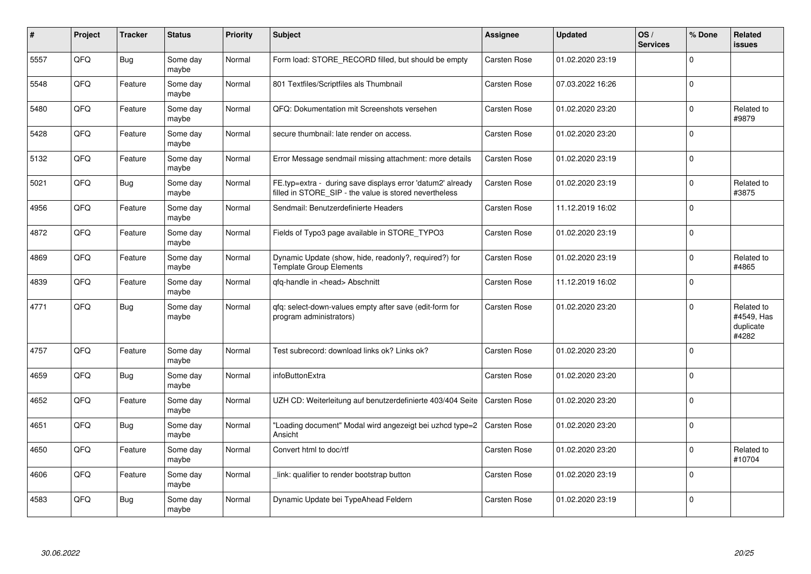| ∦    | Project | <b>Tracker</b> | <b>Status</b>     | <b>Priority</b> | <b>Subject</b>                                                                                                       | <b>Assignee</b>     | <b>Updated</b>   | OS/<br><b>Services</b> | % Done      | Related<br>issues                              |
|------|---------|----------------|-------------------|-----------------|----------------------------------------------------------------------------------------------------------------------|---------------------|------------------|------------------------|-------------|------------------------------------------------|
| 5557 | QFQ     | <b>Bug</b>     | Some day<br>maybe | Normal          | Form load: STORE_RECORD filled, but should be empty                                                                  | Carsten Rose        | 01.02.2020 23:19 |                        | $\Omega$    |                                                |
| 5548 | QFQ     | Feature        | Some day<br>maybe | Normal          | 801 Textfiles/Scriptfiles als Thumbnail                                                                              | <b>Carsten Rose</b> | 07.03.2022 16:26 |                        | $\mathbf 0$ |                                                |
| 5480 | QFQ     | Feature        | Some day<br>maybe | Normal          | QFQ: Dokumentation mit Screenshots versehen                                                                          | <b>Carsten Rose</b> | 01.02.2020 23:20 |                        | $\mathbf 0$ | Related to<br>#9879                            |
| 5428 | QFQ     | Feature        | Some day<br>maybe | Normal          | secure thumbnail: late render on access.                                                                             | Carsten Rose        | 01.02.2020 23:20 |                        | $\Omega$    |                                                |
| 5132 | QFQ     | Feature        | Some day<br>maybe | Normal          | Error Message sendmail missing attachment: more details                                                              | <b>Carsten Rose</b> | 01.02.2020 23:19 |                        | $\Omega$    |                                                |
| 5021 | QFQ     | <b>Bug</b>     | Some day<br>maybe | Normal          | FE.typ=extra - during save displays error 'datum2' already<br>filled in STORE_SIP - the value is stored nevertheless | Carsten Rose        | 01.02.2020 23:19 |                        | $\Omega$    | Related to<br>#3875                            |
| 4956 | QFQ     | Feature        | Some day<br>maybe | Normal          | Sendmail: Benutzerdefinierte Headers                                                                                 | Carsten Rose        | 11.12.2019 16:02 |                        | $\mathbf 0$ |                                                |
| 4872 | QFQ     | Feature        | Some day<br>maybe | Normal          | Fields of Typo3 page available in STORE TYPO3                                                                        | <b>Carsten Rose</b> | 01.02.2020 23:19 |                        | $\mathbf 0$ |                                                |
| 4869 | QFQ     | Feature        | Some day<br>maybe | Normal          | Dynamic Update (show, hide, readonly?, required?) for<br><b>Template Group Elements</b>                              | <b>Carsten Rose</b> | 01.02.2020 23:19 |                        | $\Omega$    | Related to<br>#4865                            |
| 4839 | QFQ     | Feature        | Some day<br>maybe | Normal          | gfg-handle in <head> Abschnitt</head>                                                                                | <b>Carsten Rose</b> | 11.12.2019 16:02 |                        | $\Omega$    |                                                |
| 4771 | QFQ     | <b>Bug</b>     | Some day<br>maybe | Normal          | qfq: select-down-values empty after save (edit-form for<br>program administrators)                                   | <b>Carsten Rose</b> | 01.02.2020 23:20 |                        | $\Omega$    | Related to<br>#4549, Has<br>duplicate<br>#4282 |
| 4757 | QFQ     | Feature        | Some day<br>maybe | Normal          | Test subrecord: download links ok? Links ok?                                                                         | Carsten Rose        | 01.02.2020 23:20 |                        | $\Omega$    |                                                |
| 4659 | QFQ     | <b>Bug</b>     | Some day<br>maybe | Normal          | infoButtonExtra                                                                                                      | <b>Carsten Rose</b> | 01.02.2020 23:20 |                        | $\Omega$    |                                                |
| 4652 | QFQ     | Feature        | Some day<br>maybe | Normal          | UZH CD: Weiterleitung auf benutzerdefinierte 403/404 Seite                                                           | Carsten Rose        | 01.02.2020 23:20 |                        | $\Omega$    |                                                |
| 4651 | QFQ     | <b>Bug</b>     | Some day<br>maybe | Normal          | "Loading document" Modal wird angezeigt bei uzhcd type=2<br>Ansicht                                                  | <b>Carsten Rose</b> | 01.02.2020 23:20 |                        | $\mathbf 0$ |                                                |
| 4650 | QFQ     | Feature        | Some day<br>maybe | Normal          | Convert html to doc/rtf                                                                                              | <b>Carsten Rose</b> | 01.02.2020 23:20 |                        | $\mathbf 0$ | Related to<br>#10704                           |
| 4606 | QFQ     | Feature        | Some day<br>maybe | Normal          | link: qualifier to render bootstrap button                                                                           | <b>Carsten Rose</b> | 01.02.2020 23:19 |                        | $\Omega$    |                                                |
| 4583 | QFQ     | Bug            | Some day<br>maybe | Normal          | Dynamic Update bei TypeAhead Feldern                                                                                 | <b>Carsten Rose</b> | 01.02.2020 23:19 |                        | $\mathbf 0$ |                                                |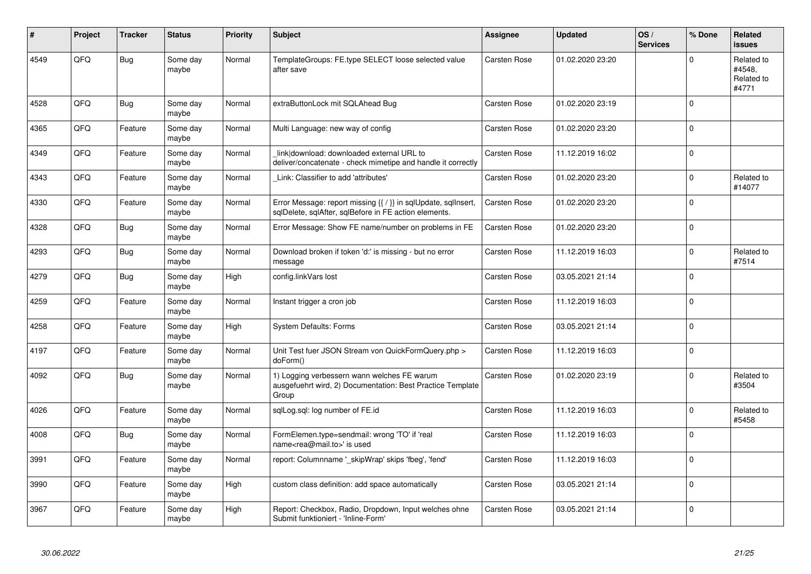| #    | Project | <b>Tracker</b> | <b>Status</b>     | <b>Priority</b> | <b>Subject</b>                                                                                                          | Assignee            | <b>Updated</b>   | OS/<br><b>Services</b> | % Done      | Related<br><b>issues</b>                    |
|------|---------|----------------|-------------------|-----------------|-------------------------------------------------------------------------------------------------------------------------|---------------------|------------------|------------------------|-------------|---------------------------------------------|
| 4549 | QFQ     | <b>Bug</b>     | Some day<br>maybe | Normal          | TemplateGroups: FE.type SELECT loose selected value<br>after save                                                       | <b>Carsten Rose</b> | 01.02.2020 23:20 |                        | $\Omega$    | Related to<br>#4548,<br>Related to<br>#4771 |
| 4528 | QFQ     | <b>Bug</b>     | Some day<br>maybe | Normal          | extraButtonLock mit SQLAhead Bug                                                                                        | <b>Carsten Rose</b> | 01.02.2020 23:19 |                        | $\Omega$    |                                             |
| 4365 | QFQ     | Feature        | Some day<br>maybe | Normal          | Multi Language: new way of config                                                                                       | <b>Carsten Rose</b> | 01.02.2020 23:20 |                        | $\Omega$    |                                             |
| 4349 | QFQ     | Feature        | Some day<br>maybe | Normal          | link download: downloaded external URL to<br>deliver/concatenate - check mimetipe and handle it correctly               | Carsten Rose        | 11.12.2019 16:02 |                        | $\Omega$    |                                             |
| 4343 | QFQ     | Feature        | Some day<br>maybe | Normal          | Link: Classifier to add 'attributes'                                                                                    | Carsten Rose        | 01.02.2020 23:20 |                        | $\Omega$    | Related to<br>#14077                        |
| 4330 | QFQ     | Feature        | Some day<br>maybe | Normal          | Error Message: report missing {{ / }} in sqlUpdate, sqlInsert,<br>sqlDelete, sqlAfter, sqlBefore in FE action elements. | Carsten Rose        | 01.02.2020 23:20 |                        | $\Omega$    |                                             |
| 4328 | QFQ     | Bug            | Some day<br>maybe | Normal          | Error Message: Show FE name/number on problems in FE                                                                    | Carsten Rose        | 01.02.2020 23:20 |                        | $\Omega$    |                                             |
| 4293 | QFQ     | Bug            | Some day<br>maybe | Normal          | Download broken if token 'd:' is missing - but no error<br>message                                                      | Carsten Rose        | 11.12.2019 16:03 |                        | $\Omega$    | Related to<br>#7514                         |
| 4279 | QFQ     | <b>Bug</b>     | Some day<br>maybe | High            | config.linkVars lost                                                                                                    | <b>Carsten Rose</b> | 03.05.2021 21:14 |                        | $\Omega$    |                                             |
| 4259 | QFQ     | Feature        | Some day<br>maybe | Normal          | Instant trigger a cron job                                                                                              | Carsten Rose        | 11.12.2019 16:03 |                        | $\Omega$    |                                             |
| 4258 | QFQ     | Feature        | Some day<br>maybe | High            | <b>System Defaults: Forms</b>                                                                                           | Carsten Rose        | 03.05.2021 21:14 |                        | $\Omega$    |                                             |
| 4197 | QFQ     | Feature        | Some day<br>maybe | Normal          | Unit Test fuer JSON Stream von QuickFormQuery.php ><br>doForm()                                                         | Carsten Rose        | 11.12.2019 16:03 |                        | $\mathbf 0$ |                                             |
| 4092 | QFQ     | <b>Bug</b>     | Some day<br>maybe | Normal          | 1) Logging verbessern wann welches FE warum<br>ausgefuehrt wird, 2) Documentation: Best Practice Template<br>Group      | Carsten Rose        | 01.02.2020 23:19 |                        | $\Omega$    | Related to<br>#3504                         |
| 4026 | QFQ     | Feature        | Some day<br>maybe | Normal          | sqlLog.sql: log number of FE.id                                                                                         | <b>Carsten Rose</b> | 11.12.2019 16:03 |                        | $\Omega$    | Related to<br>#5458                         |
| 4008 | QFQ     | <b>Bug</b>     | Some day<br>maybe | Normal          | FormElemen.type=sendmail: wrong 'TO' if 'real<br>name <rea@mail.to>' is used</rea@mail.to>                              | <b>Carsten Rose</b> | 11.12.2019 16:03 |                        | $\Omega$    |                                             |
| 3991 | QFQ     | Feature        | Some day<br>maybe | Normal          | report: Columnname '_skipWrap' skips 'fbeg', 'fend'                                                                     | Carsten Rose        | 11.12.2019 16:03 |                        | $\Omega$    |                                             |
| 3990 | QFQ     | Feature        | Some day<br>maybe | High            | custom class definition: add space automatically                                                                        | Carsten Rose        | 03.05.2021 21:14 |                        | $\Omega$    |                                             |
| 3967 | QFQ     | Feature        | Some day<br>maybe | High            | Report: Checkbox, Radio, Dropdown, Input welches ohne<br>Submit funktioniert - 'Inline-Form'                            | Carsten Rose        | 03.05.2021 21:14 |                        | $\Omega$    |                                             |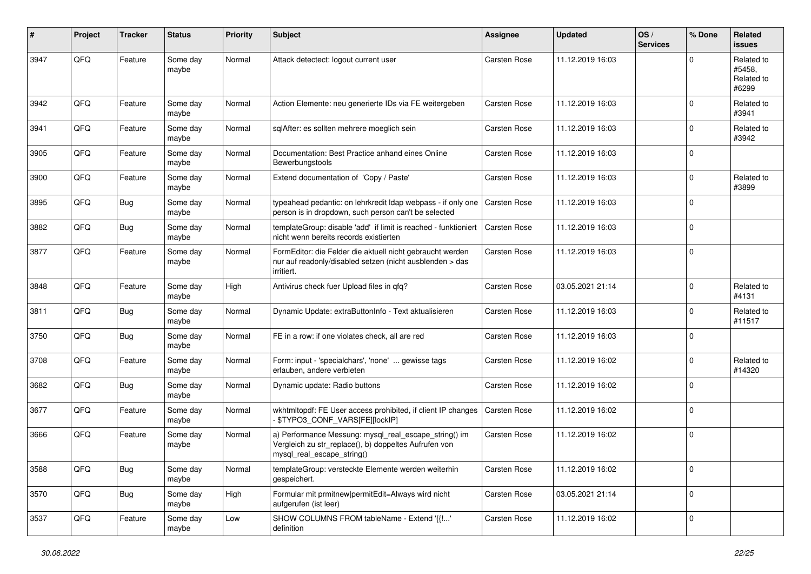| ∦    | Project | <b>Tracker</b> | <b>Status</b>     | <b>Priority</b> | <b>Subject</b>                                                                                                                               | <b>Assignee</b>     | <b>Updated</b>   | OS/<br><b>Services</b> | % Done       | Related<br>issues                           |
|------|---------|----------------|-------------------|-----------------|----------------------------------------------------------------------------------------------------------------------------------------------|---------------------|------------------|------------------------|--------------|---------------------------------------------|
| 3947 | QFQ     | Feature        | Some day<br>maybe | Normal          | Attack detectect: logout current user                                                                                                        | Carsten Rose        | 11.12.2019 16:03 |                        | $\Omega$     | Related to<br>#5458,<br>Related to<br>#6299 |
| 3942 | QFQ     | Feature        | Some day<br>maybe | Normal          | Action Elemente: neu generierte IDs via FE weitergeben                                                                                       | <b>Carsten Rose</b> | 11.12.2019 16:03 |                        | 0            | Related to<br>#3941                         |
| 3941 | QFQ     | Feature        | Some day<br>maybe | Normal          | sqlAfter: es sollten mehrere moeglich sein                                                                                                   | <b>Carsten Rose</b> | 11.12.2019 16:03 |                        | 0            | Related to<br>#3942                         |
| 3905 | QFQ     | Feature        | Some day<br>maybe | Normal          | Documentation: Best Practice anhand eines Online<br>Bewerbungstools                                                                          | <b>Carsten Rose</b> | 11.12.2019 16:03 |                        | 0            |                                             |
| 3900 | QFQ     | Feature        | Some day<br>maybe | Normal          | Extend documentation of 'Copy / Paste'                                                                                                       | <b>Carsten Rose</b> | 11.12.2019 16:03 |                        | 0            | Related to<br>#3899                         |
| 3895 | QFQ     | <b>Bug</b>     | Some day<br>maybe | Normal          | typeahead pedantic: on lehrkredit Idap webpass - if only one<br>person is in dropdown, such person can't be selected                         | Carsten Rose        | 11.12.2019 16:03 |                        | 0            |                                             |
| 3882 | QFQ     | <b>Bug</b>     | Some day<br>maybe | Normal          | templateGroup: disable 'add' if limit is reached - funktioniert<br>nicht wenn bereits records existierten                                    | <b>Carsten Rose</b> | 11.12.2019 16:03 |                        | 0            |                                             |
| 3877 | QFQ     | Feature        | Some day<br>maybe | Normal          | FormEditor: die Felder die aktuell nicht gebraucht werden<br>nur auf readonly/disabled setzen (nicht ausblenden > das<br>irritiert.          | <b>Carsten Rose</b> | 11.12.2019 16:03 |                        | $\Omega$     |                                             |
| 3848 | QFQ     | Feature        | Some day<br>maybe | High            | Antivirus check fuer Upload files in qfq?                                                                                                    | <b>Carsten Rose</b> | 03.05.2021 21:14 |                        | 0            | Related to<br>#4131                         |
| 3811 | QFQ     | <b>Bug</b>     | Some day<br>maybe | Normal          | Dynamic Update: extraButtonInfo - Text aktualisieren                                                                                         | Carsten Rose        | 11.12.2019 16:03 |                        | $\Omega$     | Related to<br>#11517                        |
| 3750 | QFQ     | <b>Bug</b>     | Some day<br>maybe | Normal          | FE in a row: if one violates check, all are red                                                                                              | Carsten Rose        | 11.12.2019 16:03 |                        | 0            |                                             |
| 3708 | QFQ     | Feature        | Some day<br>maybe | Normal          | Form: input - 'specialchars', 'none'  gewisse tags<br>erlauben, andere verbieten                                                             | <b>Carsten Rose</b> | 11.12.2019 16:02 |                        | 0            | Related to<br>#14320                        |
| 3682 | QFQ     | Bug            | Some day<br>maybe | Normal          | Dynamic update: Radio buttons                                                                                                                | <b>Carsten Rose</b> | 11.12.2019 16:02 |                        | 0            |                                             |
| 3677 | QFQ     | Feature        | Some day<br>maybe | Normal          | wkhtmltopdf: FE User access prohibited, if client IP changes<br>\$TYPO3_CONF_VARS[FE][lockIP]                                                | Carsten Rose        | 11.12.2019 16:02 |                        | $\mathbf 0$  |                                             |
| 3666 | QFQ     | Feature        | Some day<br>maybe | Normal          | a) Performance Messung: mysql_real_escape_string() im<br>Vergleich zu str_replace(), b) doppeltes Aufrufen von<br>mysql_real_escape_string() | <b>Carsten Rose</b> | 11.12.2019 16:02 |                        | 0            |                                             |
| 3588 | QFG     | <b>Bug</b>     | Some day<br>maybe | Normal          | templateGroup: versteckte Elemente werden weiterhin<br>gespeichert.                                                                          | Carsten Rose        | 11.12.2019 16:02 |                        | $\mathbf 0$  |                                             |
| 3570 | QFQ     | <b>Bug</b>     | Some day<br>maybe | High            | Formular mit prmitnew   permitEdit=Always wird nicht<br>aufgerufen (ist leer)                                                                | Carsten Rose        | 03.05.2021 21:14 |                        | 0            |                                             |
| 3537 | QFG     | Feature        | Some day<br>maybe | Low             | SHOW COLUMNS FROM tableName - Extend '{{!'<br>definition                                                                                     | Carsten Rose        | 11.12.2019 16:02 |                        | $\mathbf{0}$ |                                             |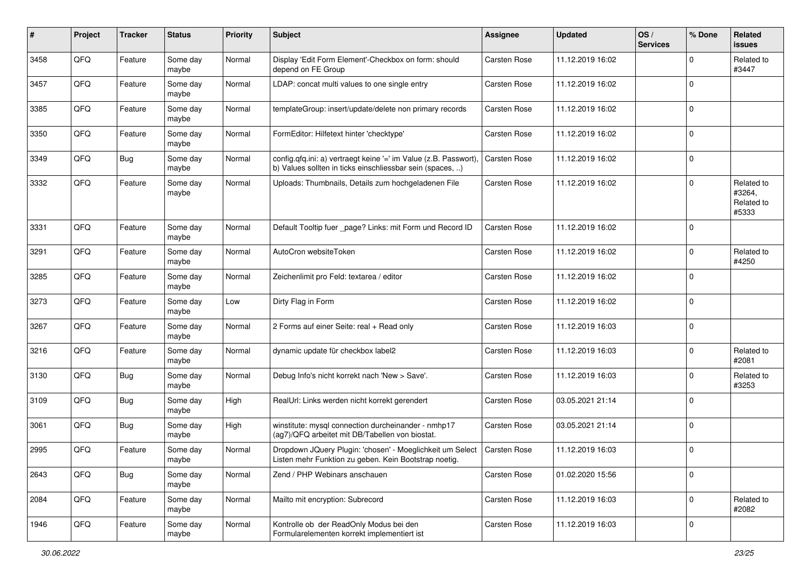| #    | Project | <b>Tracker</b> | <b>Status</b>     | <b>Priority</b> | <b>Subject</b>                                                                                                                | <b>Assignee</b>     | <b>Updated</b>   | OS/<br><b>Services</b> | % Done      | Related<br>issues                           |
|------|---------|----------------|-------------------|-----------------|-------------------------------------------------------------------------------------------------------------------------------|---------------------|------------------|------------------------|-------------|---------------------------------------------|
| 3458 | QFQ     | Feature        | Some day<br>maybe | Normal          | Display 'Edit Form Element'-Checkbox on form: should<br>depend on FE Group                                                    | Carsten Rose        | 11.12.2019 16:02 |                        | $\Omega$    | Related to<br>#3447                         |
| 3457 | QFQ     | Feature        | Some day<br>maybe | Normal          | LDAP: concat multi values to one single entry                                                                                 | <b>Carsten Rose</b> | 11.12.2019 16:02 |                        | $\Omega$    |                                             |
| 3385 | QFQ     | Feature        | Some day<br>maybe | Normal          | templateGroup: insert/update/delete non primary records                                                                       | Carsten Rose        | 11.12.2019 16:02 |                        | $\Omega$    |                                             |
| 3350 | QFQ     | Feature        | Some day<br>maybe | Normal          | FormEditor: Hilfetext hinter 'checktype'                                                                                      | Carsten Rose        | 11.12.2019 16:02 |                        | $\Omega$    |                                             |
| 3349 | QFQ     | <b>Bug</b>     | Some day<br>maybe | Normal          | config.qfq.ini: a) vertraegt keine '=' im Value (z.B. Passwort),<br>b) Values sollten in ticks einschliessbar sein (spaces, ) | <b>Carsten Rose</b> | 11.12.2019 16:02 |                        | $\Omega$    |                                             |
| 3332 | QFQ     | Feature        | Some day<br>maybe | Normal          | Uploads: Thumbnails, Details zum hochgeladenen File                                                                           | Carsten Rose        | 11.12.2019 16:02 |                        | $\mathbf 0$ | Related to<br>#3264,<br>Related to<br>#5333 |
| 3331 | QFQ     | Feature        | Some day<br>maybe | Normal          | Default Tooltip fuer _page? Links: mit Form und Record ID                                                                     | <b>Carsten Rose</b> | 11.12.2019 16:02 |                        | $\Omega$    |                                             |
| 3291 | QFQ     | Feature        | Some day<br>maybe | Normal          | AutoCron websiteToken                                                                                                         | Carsten Rose        | 11.12.2019 16:02 |                        | $\Omega$    | Related to<br>#4250                         |
| 3285 | QFQ     | Feature        | Some day<br>maybe | Normal          | Zeichenlimit pro Feld: textarea / editor                                                                                      | Carsten Rose        | 11.12.2019 16:02 |                        | $\Omega$    |                                             |
| 3273 | QFQ     | Feature        | Some day<br>maybe | Low             | Dirty Flag in Form                                                                                                            | Carsten Rose        | 11.12.2019 16:02 |                        | $\Omega$    |                                             |
| 3267 | QFQ     | Feature        | Some day<br>maybe | Normal          | 2 Forms auf einer Seite: real + Read only                                                                                     | Carsten Rose        | 11.12.2019 16:03 |                        | $\Omega$    |                                             |
| 3216 | QFQ     | Feature        | Some day<br>maybe | Normal          | dynamic update für checkbox label2                                                                                            | Carsten Rose        | 11.12.2019 16:03 |                        | $\Omega$    | Related to<br>#2081                         |
| 3130 | QFQ     | <b>Bug</b>     | Some day<br>maybe | Normal          | Debug Info's nicht korrekt nach 'New > Save'.                                                                                 | Carsten Rose        | 11.12.2019 16:03 |                        | $\Omega$    | Related to<br>#3253                         |
| 3109 | QFQ     | <b>Bug</b>     | Some day<br>maybe | High            | RealUrl: Links werden nicht korrekt gerendert                                                                                 | <b>Carsten Rose</b> | 03.05.2021 21:14 |                        | $\Omega$    |                                             |
| 3061 | QFQ     | <b>Bug</b>     | Some day<br>maybe | High            | winstitute: mysql connection durcheinander - nmhp17<br>(ag7)/QFQ arbeitet mit DB/Tabellen von biostat.                        | Carsten Rose        | 03.05.2021 21:14 |                        | $\Omega$    |                                             |
| 2995 | QFQ     | Feature        | Some day<br>maybe | Normal          | Dropdown JQuery Plugin: 'chosen' - Moeglichkeit um Select<br>Listen mehr Funktion zu geben. Kein Bootstrap noetig.            | <b>Carsten Rose</b> | 11.12.2019 16:03 |                        | $\Omega$    |                                             |
| 2643 | QFQ     | <b>Bug</b>     | Some day<br>maybe | Normal          | Zend / PHP Webinars anschauen                                                                                                 | Carsten Rose        | 01.02.2020 15:56 |                        | 0           |                                             |
| 2084 | QFQ     | Feature        | Some day<br>maybe | Normal          | Mailto mit encryption: Subrecord                                                                                              | Carsten Rose        | 11.12.2019 16:03 |                        | $\mathbf 0$ | Related to<br>#2082                         |
| 1946 | QFQ     | Feature        | Some day<br>maybe | Normal          | Kontrolle ob der ReadOnly Modus bei den<br>Formularelementen korrekt implementiert ist                                        | Carsten Rose        | 11.12.2019 16:03 |                        | 0           |                                             |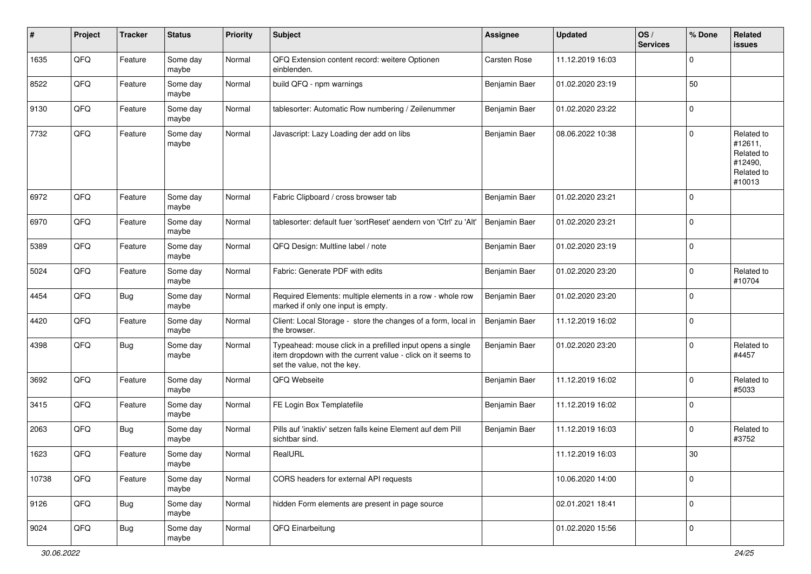| #     | Project | <b>Tracker</b> | <b>Status</b>     | <b>Priority</b> | <b>Subject</b>                                                                                                                                           | Assignee            | <b>Updated</b>   | OS/<br><b>Services</b> | % Done      | Related<br><b>issues</b>                                               |
|-------|---------|----------------|-------------------|-----------------|----------------------------------------------------------------------------------------------------------------------------------------------------------|---------------------|------------------|------------------------|-------------|------------------------------------------------------------------------|
| 1635  | QFQ     | Feature        | Some day<br>maybe | Normal          | QFQ Extension content record: weitere Optionen<br>einblenden.                                                                                            | <b>Carsten Rose</b> | 11.12.2019 16:03 |                        | $\mathbf 0$ |                                                                        |
| 8522  | QFQ     | Feature        | Some day<br>maybe | Normal          | build QFQ - npm warnings                                                                                                                                 | Benjamin Baer       | 01.02.2020 23:19 |                        | 50          |                                                                        |
| 9130  | QFQ     | Feature        | Some day<br>maybe | Normal          | tablesorter: Automatic Row numbering / Zeilenummer                                                                                                       | Benjamin Baer       | 01.02.2020 23:22 |                        | 0           |                                                                        |
| 7732  | QFQ     | Feature        | Some day<br>maybe | Normal          | Javascript: Lazy Loading der add on libs                                                                                                                 | Benjamin Baer       | 08.06.2022 10:38 |                        | 0           | Related to<br>#12611,<br>Related to<br>#12490,<br>Related to<br>#10013 |
| 6972  | QFQ     | Feature        | Some day<br>maybe | Normal          | Fabric Clipboard / cross browser tab                                                                                                                     | Benjamin Baer       | 01.02.2020 23:21 |                        | $\mathbf 0$ |                                                                        |
| 6970  | QFQ     | Feature        | Some day<br>maybe | Normal          | tablesorter: default fuer 'sortReset' aendern von 'Ctrl' zu 'Alt'                                                                                        | Benjamin Baer       | 01.02.2020 23:21 |                        | 0           |                                                                        |
| 5389  | QFQ     | Feature        | Some day<br>maybe | Normal          | QFQ Design: Multline label / note                                                                                                                        | Benjamin Baer       | 01.02.2020 23:19 |                        | 0           |                                                                        |
| 5024  | QFQ     | Feature        | Some day<br>maybe | Normal          | Fabric: Generate PDF with edits                                                                                                                          | Benjamin Baer       | 01.02.2020 23:20 |                        | 0           | Related to<br>#10704                                                   |
| 4454  | QFQ     | <b>Bug</b>     | Some day<br>maybe | Normal          | Required Elements: multiple elements in a row - whole row<br>marked if only one input is empty.                                                          | Benjamin Baer       | 01.02.2020 23:20 |                        | 0           |                                                                        |
| 4420  | QFQ     | Feature        | Some day<br>maybe | Normal          | Client: Local Storage - store the changes of a form, local in<br>the browser.                                                                            | Benjamin Baer       | 11.12.2019 16:02 |                        | 0           |                                                                        |
| 4398  | QFQ     | <b>Bug</b>     | Some day<br>maybe | Normal          | Typeahead: mouse click in a prefilled input opens a single<br>item dropdown with the current value - click on it seems to<br>set the value, not the key. | Benjamin Baer       | 01.02.2020 23:20 |                        | $\Omega$    | Related to<br>#4457                                                    |
| 3692  | QFQ     | Feature        | Some day<br>maybe | Normal          | QFQ Webseite                                                                                                                                             | Benjamin Baer       | 11.12.2019 16:02 |                        | $\Omega$    | Related to<br>#5033                                                    |
| 3415  | QFQ     | Feature        | Some day<br>maybe | Normal          | FE Login Box Templatefile                                                                                                                                | Benjamin Baer       | 11.12.2019 16:02 |                        | 0           |                                                                        |
| 2063  | QFQ     | <b>Bug</b>     | Some day<br>maybe | Normal          | Pills auf 'inaktiv' setzen falls keine Element auf dem Pill<br>sichtbar sind.                                                                            | Benjamin Baer       | 11.12.2019 16:03 |                        | $\mathbf 0$ | Related to<br>#3752                                                    |
| 1623  | QFQ     | Feature        | Some day<br>maybe | Normal          | RealURL                                                                                                                                                  |                     | 11.12.2019 16:03 |                        | 30          |                                                                        |
| 10738 | QFQ     | Feature        | Some day<br>maybe | Normal          | CORS headers for external API requests                                                                                                                   |                     | 10.06.2020 14:00 |                        | 0           |                                                                        |
| 9126  | QFG     | <b>Bug</b>     | Some day<br>maybe | Normal          | hidden Form elements are present in page source                                                                                                          |                     | 02.01.2021 18:41 |                        | $\mathbf 0$ |                                                                        |
| 9024  | QFQ     | <b>Bug</b>     | Some day<br>maybe | Normal          | QFQ Einarbeitung                                                                                                                                         |                     | 01.02.2020 15:56 |                        | 0           |                                                                        |